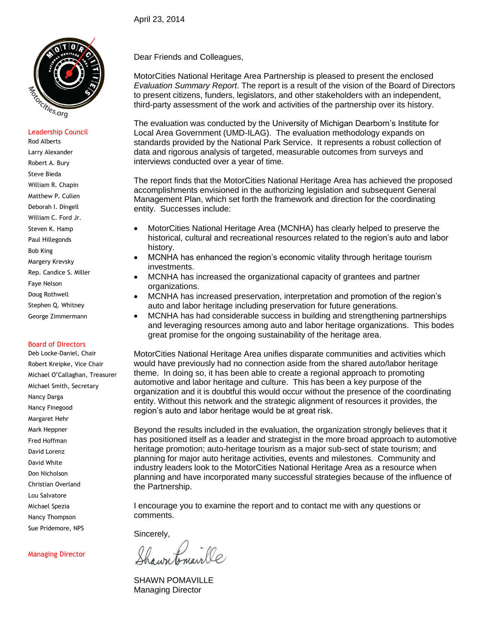

#### Leadership Council

Rod Alberts Larry Alexander Robert A. Bury Steve Bieda William R. Chapin Matthew P. Cullen Deborah I. Dingell William C. Ford Jr. Steven K. Hamp Paul Hillegonds Bob King Margery Krevsky Rep. Candice S. Miller Faye Nelson Doug Rothwell Stephen Q. Whitney

#### Board of Directors

George Zimmermann

Deb Locke-Daniel, Chair Robert Kreipke, Vice Chair Michael O'Callaghan, Treasurer Michael Smith, Secretary Nancy Darga Nancy Finegood Margaret Hehr Mark Heppner Fred Hoffman David Lorenz David White Don Nicholson Christian Overland Lou Salvatore Michael Spezia Nancy Thompson Sue Pridemore, NPS

Managing Director

Dear Friends and Colleagues,

MotorCities National Heritage Area Partnership is pleased to present the enclosed *Evaluation Summary Report*. The report is a result of the vision of the Board of Directors to present citizens, funders, legislators, and other stakeholders with an independent, third-party assessment of the work and activities of the partnership over its history.

The evaluation was conducted by the University of Michigan Dearborn's Institute for Local Area Government (UMD-ILAG). The evaluation methodology expands on standards provided by the National Park Service. It represents a robust collection of data and rigorous analysis of targeted, measurable outcomes from surveys and interviews conducted over a year of time.

The report finds that the MotorCities National Heritage Area has achieved the proposed accomplishments envisioned in the authorizing legislation and subsequent General Management Plan, which set forth the framework and direction for the coordinating entity. Successes include:

- MotorCities National Heritage Area (MCNHA) has clearly helped to preserve the historical, cultural and recreational resources related to the region's auto and labor history.
- MCNHA has enhanced the region's economic vitality through heritage tourism investments.
- MCNHA has increased the organizational capacity of grantees and partner organizations.
- MCNHA has increased preservation, interpretation and promotion of the region's auto and labor heritage including preservation for future generations.
- MCNHA has had considerable success in building and strengthening partnerships and leveraging resources among auto and labor heritage organizations. This bodes great promise for the ongoing sustainability of the heritage area.

MotorCities National Heritage Area unifies disparate communities and activities which would have previously had no connection aside from the shared auto/labor heritage theme. In doing so, it has been able to create a regional approach to promoting automotive and labor heritage and culture. This has been a key purpose of the organization and it is doubtful this would occur without the presence of the coordinating entity. Without this network and the strategic alignment of resources it provides, the region's auto and labor heritage would be at great risk.

Beyond the results included in the evaluation, the organization strongly believes that it has positioned itself as a leader and strategist in the more broad approach to automotive heritage promotion; auto-heritage tourism as a major sub-sect of state tourism; and planning for major auto heritage activities, events and milestones. Community and industry leaders look to the MotorCities National Heritage Area as a resource when planning and have incorporated many successful strategies because of the influence of the Partnership.

I encourage you to examine the report and to contact me with any questions or comments.

Sincerely,

tonaille

SHAWN POMAVILLE Managing Director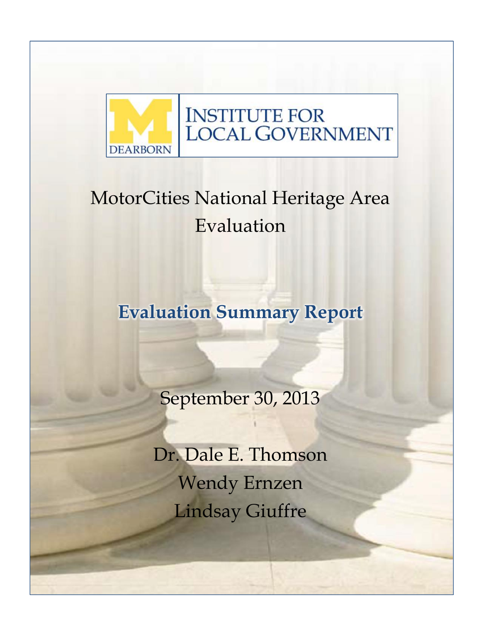

# MotorCities National Heritage Area Evaluation

**Evaluation Summary Report**

September 30, 2013

Dr. Dale E. Thomson Wendy Ernzen Lindsay Giuffre

 $\overline{\phantom{a}}$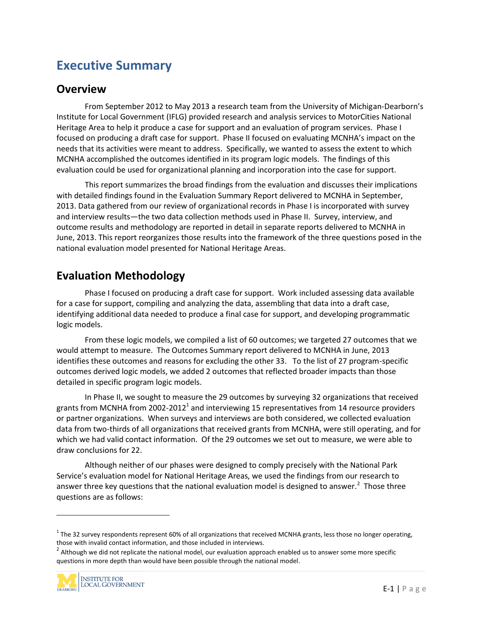# **Executive Summary**

### **Overview**

From September 2012 to May 2013 a research team from the University of Michigan-Dearborn's Institute for Local Government (IFLG) provided research and analysis services to MotorCities National Heritage Area to help it produce a case for support and an evaluation of program services. Phase I focused on producing a draft case for support. Phase II focused on evaluating MCNHA's impact on the needs that its activities were meant to address. Specifically, we wanted to assess the extent to which MCNHA accomplished the outcomes identified in its program logic models. The findings of this evaluation could be used for organizational planning and incorporation into the case for support.

This report summarizes the broad findings from the evaluation and discusses their implications with detailed findings found in the Evaluation Summary Report delivered to MCNHA in September, 2013. Data gathered from our review of organizational records in Phase I is incorporated with survey and interview results—the two data collection methods used in Phase II. Survey, interview, and outcome results and methodology are reported in detail in separate reports delivered to MCNHA in June, 2013. This report reorganizes those results into the framework of the three questions posed in the national evaluation model presented for National Heritage Areas.

# **Evaluation Methodology**

Phase I focused on producing a draft case for support. Work included assessing data available for a case for support, compiling and analyzing the data, assembling that data into a draft case, identifying additional data needed to produce a final case for support, and developing programmatic logic models.

From these logic models, we compiled a list of 60 outcomes; we targeted 27 outcomes that we would attempt to measure. The Outcomes Summary report delivered to MCNHA in June, 2013 identifies these outcomes and reasons for excluding the other 33. To the list of 27 program-specific outcomes derived logic models, we added 2 outcomes that reflected broader impacts than those detailed in specific program logic models.

In Phase II, we sought to measure the 29 outcomes by surveying 32 organizations that received grants from MCNHA from 2002-2012<sup>1</sup> and interviewing 15 representatives from 14 resource providers or partner organizations. When surveys and interviews are both considered, we collected evaluation data from two-thirds of all organizations that received grants from MCNHA, were still operating, and for which we had valid contact information. Of the 29 outcomes we set out to measure, we were able to draw conclusions for 22.

Although neither of our phases were designed to comply precisely with the National Park Service's evaluation model for National Heritage Areas, we used the findings from our research to answer three key questions that the national evaluation model is designed to answer.<sup>2</sup> Those three questions are as follows:

those with invalid contact information, and those included in interviews.<br><sup>2</sup> Although we did not replicate the national model, our evaluation approach enabled us to answer some more specific questions in more depth than would have been possible through the national model.



 $1$  The 32 survey respondents represent 60% of all organizations that received MCNHA grants, less those no longer operating,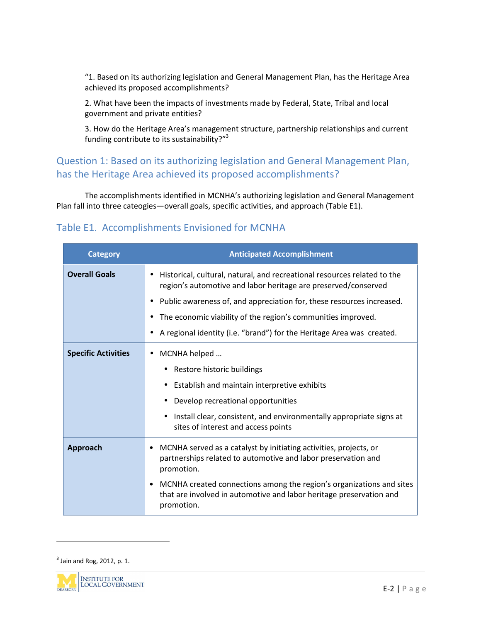"1. Based on its authorizing legislation and General Management Plan, has the Heritage Area achieved its proposed accomplishments?

2. What have been the impacts of investments made by Federal, State, Tribal and local government and private entities?

3. How do the Heritage Area's management structure, partnership relationships and current funding contribute to its sustainability?"<sup>3</sup>

# Question 1: Based on its authorizing legislation and General Management Plan, has the Heritage Area achieved its proposed accomplishments?

The accomplishments identified in MCNHA's authorizing legislation and General Management Plan fall into three cateogies—overall goals, specific activities, and approach (Table E1).

### Table E1. Accomplishments Envisioned for MCNHA

| <b>Category</b>            | <b>Anticipated Accomplishment</b>                                                                                                                              |  |  |  |  |
|----------------------------|----------------------------------------------------------------------------------------------------------------------------------------------------------------|--|--|--|--|
| <b>Overall Goals</b>       | Historical, cultural, natural, and recreational resources related to the<br>$\bullet$<br>region's automotive and labor heritage are preserved/conserved        |  |  |  |  |
|                            | Public awareness of, and appreciation for, these resources increased.                                                                                          |  |  |  |  |
|                            | The economic viability of the region's communities improved.                                                                                                   |  |  |  |  |
|                            | A regional identity (i.e. "brand") for the Heritage Area was created.                                                                                          |  |  |  |  |
| <b>Specific Activities</b> | MCNHA helped<br>$\bullet$                                                                                                                                      |  |  |  |  |
|                            | Restore historic buildings                                                                                                                                     |  |  |  |  |
|                            | Establish and maintain interpretive exhibits<br>$\bullet$                                                                                                      |  |  |  |  |
|                            | Develop recreational opportunities                                                                                                                             |  |  |  |  |
|                            | Install clear, consistent, and environmentally appropriate signs at<br>sites of interest and access points                                                     |  |  |  |  |
| Approach                   | MCNHA served as a catalyst by initiating activities, projects, or<br>٠<br>partnerships related to automotive and labor preservation and<br>promotion.          |  |  |  |  |
|                            | MCNHA created connections among the region's organizations and sites<br>٠<br>that are involved in automotive and labor heritage preservation and<br>promotion. |  |  |  |  |

 $^3$  Jain and Rog, 2012, p. 1.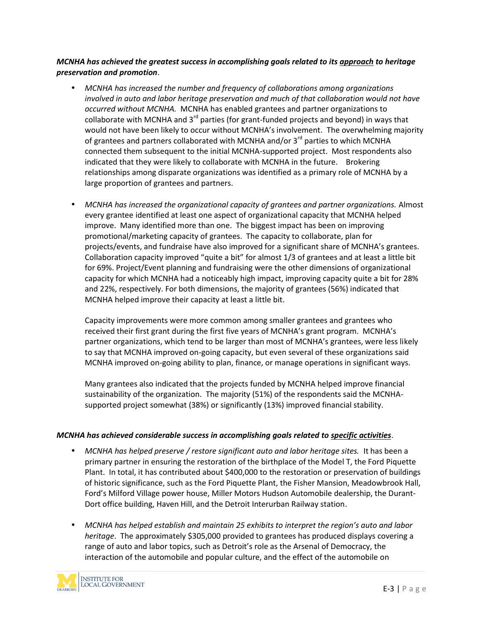#### *MCNHA has achieved the greatest success in accomplishing goals related to its approach to heritage preservation and promotion*.

- *MCNHA has increased the number and frequency of collaborations among organizations involved in auto and labor heritage preservation and much of that collaboration would not have occurred without MCNHA.* MCNHA has enabled grantees and partner organizations to collaborate with MCNHA and  $3<sup>rd</sup>$  parties (for grant-funded projects and beyond) in ways that would not have been likely to occur without MCNHA's involvement. The overwhelming majority of grantees and partners collaborated with MCNHA and/or  $3<sup>rd</sup>$  parties to which MCNHA connected them subsequent to the initial MCNHA-supported project. Most respondents also indicated that they were likely to collaborate with MCNHA in the future. Brokering relationships among disparate organizations was identified as a primary role of MCNHA by a large proportion of grantees and partners.
- *MCNHA has increased the organizational capacity of grantees and partner organizations.* Almost every grantee identified at least one aspect of organizational capacity that MCNHA helped improve. Many identified more than one. The biggest impact has been on improving promotional/marketing capacity of grantees. The capacity to collaborate, plan for projects/events, and fundraise have also improved for a significant share of MCNHA's grantees. Collaboration capacity improved "quite a bit" for almost 1/3 of grantees and at least a little bit for 69%. Project/Event planning and fundraising were the other dimensions of organizational capacity for which MCNHA had a noticeably high impact, improving capacity quite a bit for 28% and 22%, respectively. For both dimensions, the majority of grantees (56%) indicated that MCNHA helped improve their capacity at least a little bit.

Capacity improvements were more common among smaller grantees and grantees who received their first grant during the first five years of MCNHA's grant program. MCNHA's partner organizations, which tend to be larger than most of MCNHA's grantees, were less likely to say that MCNHA improved on-going capacity, but even several of these organizations said MCNHA improved on-going ability to plan, finance, or manage operations in significant ways.

Many grantees also indicated that the projects funded by MCNHA helped improve financial sustainability of the organization. The majority (51%) of the respondents said the MCNHA supported project somewhat (38%) or significantly (13%) improved financial stability.

#### *MCNHA has achieved considerable success in accomplishing goals related to specific activities*.

- *MCNHA has helped preserve / restore significant auto and labor heritage sites.* It has been a primary partner in ensuring the restoration of the birthplace of the Model T, the Ford Piquette Plant. In total, it has contributed about \$400,000 to the restoration or preservation of buildings of historic significance, such as the Ford Piquette Plant, the Fisher Mansion, Meadowbrook Hall, Ford's Milford Village power house, Miller Motors Hudson Automobile dealership, the Durant- Dort office building, Haven Hill, and the Detroit Interurban Railway station.
- bering a<br>e<br>E-3 | P a g e *MCNHA has helped establish and maintain 25 exhibits to interpret the region's auto and labor heritage*. The approximately \$305,000 provided to grantees has produced displays covering a range of auto and labor topics, such as Detroit's role as the Arsenal of Democracy, the interaction of the automobile and popular culture, and the effect of the automobile on

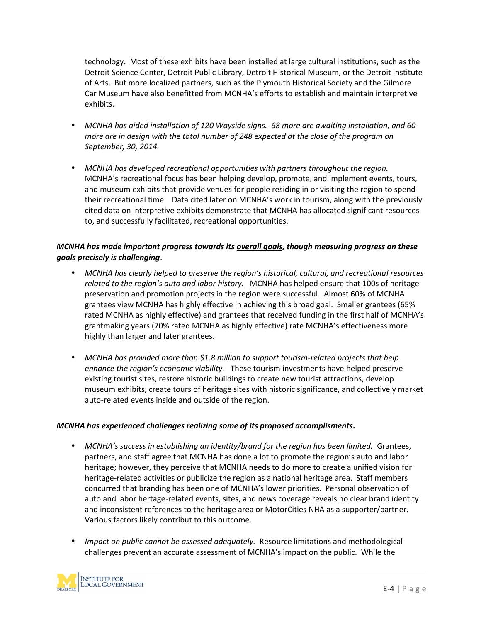technology. Most of these exhibits have been installed at large cultural institutions, such as the Detroit Science Center, Detroit Public Library, Detroit Historical Museum, or the Detroit Institute of Arts. But more localized partners, such as the Plymouth Historical Society and the Gilmore Car Museum have also benefitted from MCNHA's efforts to establish and maintain interpretive exhibits.

- *MCNHA has aided installation of 120 Wayside signs. 68 more are awaiting installation, and 60 more are in design with the total number of 248 expected at the close of the program on September, 30, 2014.*
- *MCNHA has developed recreational opportunities with partners throughout the region.* MCNHA's recreational focus has been helping develop, promote, and implement events, tours, and museum exhibits that provide venues for people residing in or visiting the region to spend their recreational time. Data cited later on MCNHA's work in tourism, along with the previously cited data on interpretive exhibits demonstrate that MCNHA has allocated significant resources to, and successfully facilitated, recreational opportunities.

#### *MCNHA has made important progress towards its overall goals, though measuring progress on these goals precisely is challenging*.

- *MCNHA has clearly helped to preserve the region's historical, cultural, and recreational resources related to the region's auto and labor history.* MCNHA has helped ensure that 100s of heritage preservation and promotion projects in the region were successful. Almost 60% of MCNHA grantees view MCNHA has highly effective in achieving this broad goal. Smaller grantees (65% rated MCNHA as highly effective) and grantees that received funding in the first half of MCNHA's grantmaking years (70% rated MCNHA as highly effective) rate MCNHA's effectiveness more highly than larger and later grantees.
- *MCNHA has provided more than \$1.8 million to support tourism-related projects that help enhance the region's economic viability.* These tourism investments have helped preserve existing tourist sites, restore historic buildings to create new tourist attractions, develop museum exhibits, create tours of heritage sites with historic significance, and collectively market auto-related events inside and outside of the region.

#### *MCNHA has experienced challenges realizing some of its proposed accomplisments.*

- *MCNHA's success in establishing an identity/brand for the region has been limited.* Grantees, partners, and staff agree that MCNHA has done a lot to promote the region's auto and labor heritage; however, they perceive that MCNHA needs to do more to create a unified vision for heritage-related activities or publicize the region as a national heritage area. Staff members concurred that branding has been one of MCNHA's lower priorities. Personal observation of auto and labor hertage-related events, sites, and news coverage reveals no clear brand identity and inconsistent references to the heritage area or MotorCities NHA as a supporter/partner. Various factors likely contribut to this outcome.
- ogical<br>the<br>E-4 | P a g e *Impact on public cannot be assessed adequately.* Resource limitations and methodological challenges prevent an accurate assessment of MCNHA's impact on the public. While the

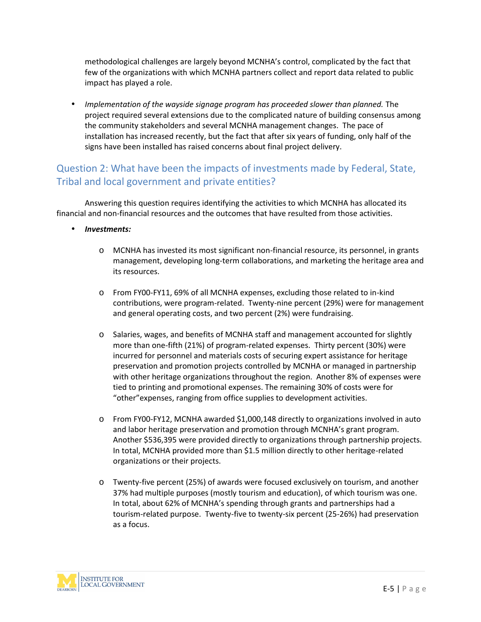methodological challenges are largely beyond MCNHA's control, complicated by the fact that few of the organizations with which MCNHA partners collect and report data related to public impact has played a role.

 *Implementation of the wayside signage program has proceeded slower than planned.* The project required several extensions due to the complicated nature of building consensus among the community stakeholders and several MCNHA management changes. The pace of installation has increased recently, but the fact that after six years of funding, only half of the signs have been installed has raised concerns about final project delivery.

# Question 2: What have been the impacts of investments made by Federal, State, Tribal and local government and private entities?

Answering this question requires identifying the activities to which MCNHA has allocated its financial and non-financial resources and the outcomes that have resulted from those activities.

- *Investments:*
	- o MCNHA has invested its most significant non-financial resource, its personnel, in grants management, developing long-term collaborations, and marketing the heritage area and its resources.
	- o From FY00-FY11, 69% of all MCNHA expenses, excluding those related to in-kind contributions, were program-related. Twenty-nine percent (29%) were for management and general operating costs, and two percent (2%) were fundraising.
	- o Salaries, wages, and benefits of MCNHA staff and management accounted for slightly more than one-fifth (21%) of program-related expenses. Thirty percent (30%) were incurred for personnel and materials costs of securing expert assistance for heritage preservation and promotion projects controlled by MCNHA or managed in partnership with other heritage organizations throughout the region. Another 8% of expenses were tied to printing and promotional expenses. The remaining 30% of costs were for "other"expenses, ranging from office supplies to development activities.
	- o From FY00-FY12, MCNHA awarded \$1,000,148 directly to organizations involved in auto and labor heritage preservation and promotion through MCNHA's grant program. Another \$536,395 were provided directly to organizations through partnership projects. In total, MCNHA provided more than \$1.5 million directly to other heritage-related organizations or their projects.
	- o Twenty-five percent (25%) of awards were focused exclusively on tourism, and another 37% had multiple purposes (mostly tourism and education), of which tourism was one. In total, about 62% of MCNHA's spending through grants and partnerships had a tourism-related purpose. Twenty-five to twenty-six percent (25-26%) had preservation as a focus.

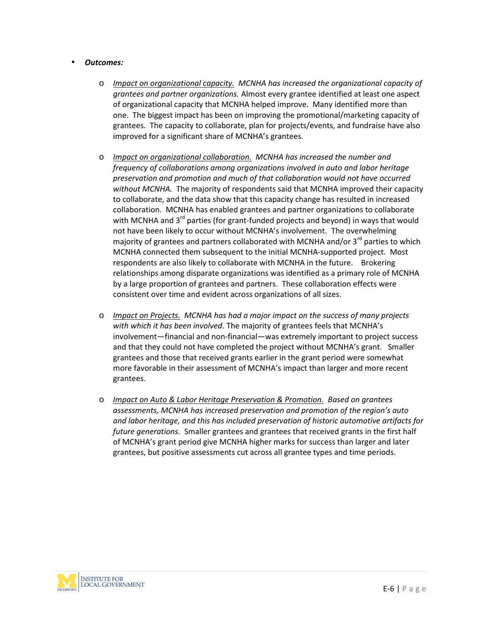#### *Outcomes:*

- o *Impact on organizational capacity. MCNHA has increased the organizational capacity of grantees and partner organizations.* Almost every grantee identified at least one aspect of organizational capacity that MCNHA helped improve. Many identified more than one. The biggest impact has been on improving the promotional/marketing capacity of grantees. The capacity to collaborate, plan for projects/events, and fundraise have also improved for a significant share of MCNHA's grantees.
- o *Impact on organizational collaboration. MCNHA has increased the number and frequency of collaborations among organizations involved in auto and labor heritage preservation and promotion and much of that collaboration would not have occurred without MCNHA.* The majority of respondents said that MCNHA improved their capacity to collaborate, and the data show that this capacity change has resulted in increased collaboration. MCNHA has enabled grantees and partner organizations to collaborate with MCNHA and  $3^{rd}$  parties (for grant-funded projects and beyond) in ways that would not have been likely to occur without MCNHA's involvement. The overwhelming majority of grantees and partners collaborated with MCNHA and/or  $3<sup>rd</sup>$  parties to which MCNHA connected them subsequent to the initial MCNHA-supported project. Most respondents are also likely to collaborate with MCNHA in the future. Brokering relationships among disparate organizations was identified as a primary role of MCNHA by a large proportion of grantees and partners. These collaboration effects were consistent over time and evident across organizations of all sizes.
- o *Impact on Projects. MCNHA has had a major impact on the success of many projects with which it has been involved.* The majority of grantees feels that MCNHA's involvement—financial and non-financial—was extremely important to project success and that they could not have completed the project without MCNHA's grant. Smaller grantees and those that received grants earlier in the grant period were somewhat more favorable in their assessment of MCNHA's impact than larger and more recent grantees.
- o *Impact on Auto & Labor Heritage Preservation & Promotion. Based on grantees assessments, MCNHA has increased preservation and promotion of the region's auto and labor heritage, and this has included preservation of historic automotive artifacts for future generations.* Smaller grantees and grantees that received grants in the first half of MCNHA's grant period give MCNHA higher marks for success than larger and later grantees, but positive assessments cut across all grantee types and time periods.

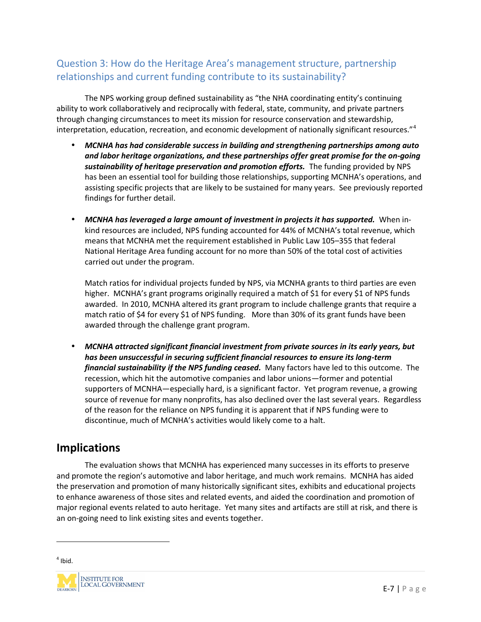# Question 3: How do the Heritage Area's management structure, partnership relationships and current funding contribute to its sustainability?

The NPS working group defined sustainability as "the NHA coordinating entity's continuing ability to work collaboratively and reciprocally with federal, state, community, and private partners through changing circumstances to meet its mission for resource conservation and stewardship, interpretation, education, recreation, and economic development of nationally significant resources."<sup>4</sup>

- *MCNHA has had considerable success in building and strengthening partnerships among auto and labor heritage organizations, and these partnerships offer great promise for the on-going sustainability of heritage preservation and promotion efforts.* The funding provided by NPS has been an essential tool for building those relationships, supporting MCNHA's operations, and assisting specific projects that are likely to be sustained for many years. See previously reported findings for further detail.
- *MCNHA has leveraged a large amount of investment in projects it has supported.* When in kind resources are included, NPS funding accounted for 44% of MCNHA's total revenue, which means that MCNHA met the requirement established in Public Law 105–355 that federal National Heritage Area funding account for no more than 50% of the total cost of activities carried out under the program.

Match ratios for individual projects funded by NPS, via MCNHA grants to third parties are even higher. MCNHA's grant programs originally required a match of \$1 for every \$1 of NPS funds awarded. In 2010, MCNHA altered its grant program to include challenge grants that require a match ratio of \$4 for every \$1 of NPS funding. More than 30% of its grant funds have been awarded through the challenge grant program.

 *MCNHA attracted significant financial investment from private sources in its early years, but has been unsuccessful in securing sufficient financial resources to ensure its long-term financial sustainability if the NPS funding ceased.* Many factors have led to this outcome. The recession, which hit the automotive companies and labor unions—former and potential supporters of MCNHA—especially hard, is a significant factor. Yet program revenue, a growing source of revenue for many nonprofits, has also declined over the last several years. Regardless of the reason for the reliance on NPS funding it is apparent that if NPS funding were to discontinue, much of MCNHA's activities would likely come to a halt.

# **Implications**

The evaluation shows that MCNHA has experienced many successes in its efforts to preserve and promote the region's automotive and labor heritage, and much work remains. MCNHA has aided the preservation and promotion of many historically significant sites, exhibits and educational projects to enhance awareness of those sites and related events, and aided the coordination and promotion of major regional events related to auto heritage. Yet many sites and artifacts are still at risk, and there is an on-going need to link existing sites and events together.

 $<sup>4</sup>$  Ibid.</sup>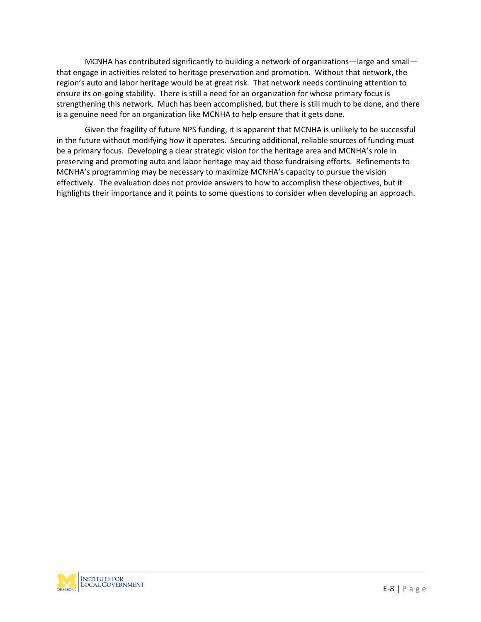MCNHA has contributed significantly to building a network of organizations—large and small that engage in activities related to heritage preservation and promotion. Without that network, the region's auto and labor heritage would be at great risk. That network needs continuing attention to ensure its on-going stability. There is still a need for an organization for whose primary focus is strengthening this network. Much has been accomplished, but there is still much to be done, and there is a genuine need for an organization like MCNHA to help ensure that it gets done.

Given the fragility of future NPS funding, it is apparent that MCNHA is unlikely to be successful in the future without modifying how it operates. Securing additional, reliable sources of funding must be a primary focus. Developing a clear strategic vision for the heritage area and MCNHA's role in preserving and promoting auto and labor heritage may aid those fundraising efforts. Refinements to MCNHA's programming may be necessary to maximize MCNHA's capacity to pursue the vision effectively. The evaluation does not provide answers to how to accomplish these objectives, but it highlights their importance and it points to some questions to consider when developing an approach.

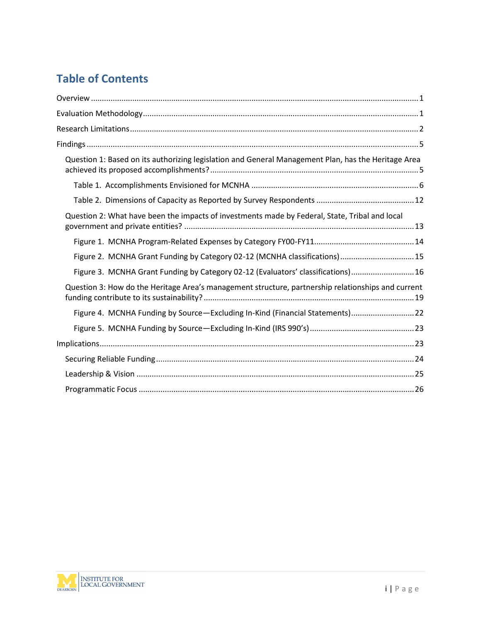# **Table of Contents**

| Question 1: Based on its authorizing legislation and General Management Plan, has the Heritage Area |  |
|-----------------------------------------------------------------------------------------------------|--|
|                                                                                                     |  |
|                                                                                                     |  |
| Question 2: What have been the impacts of investments made by Federal, State, Tribal and local      |  |
|                                                                                                     |  |
| Figure 2. MCNHA Grant Funding by Category 02-12 (MCNHA classifications) 15                          |  |
| Figure 3. MCNHA Grant Funding by Category 02-12 (Evaluators' classifications) 16                    |  |
| Question 3: How do the Heritage Area's management structure, partnership relationships and current  |  |
| Figure 4. MCNHA Funding by Source-Excluding In-Kind (Financial Statements) 22                       |  |
|                                                                                                     |  |
|                                                                                                     |  |
|                                                                                                     |  |
|                                                                                                     |  |
|                                                                                                     |  |

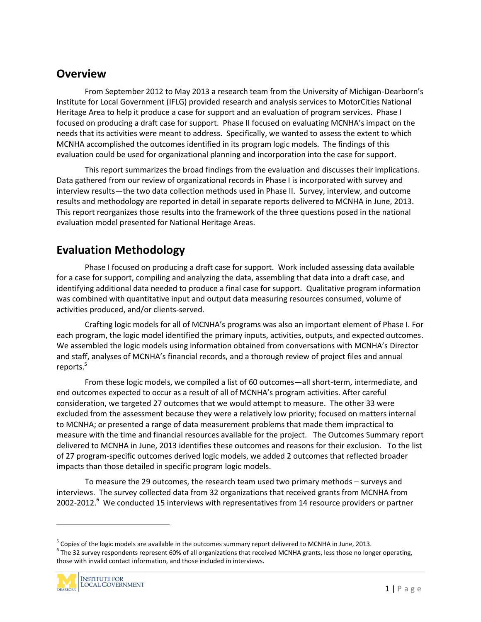# **Overview**

From September 2012 to May 2013 a research team from the University of Michigan-Dearborn's Institute for Local Government (IFLG) provided research and analysis services to MotorCities National Heritage Area to help it produce a case for support and an evaluation of program services. Phase I focused on producing a draft case for support. Phase II focused on evaluating MCNHA's impact on the needs that its activities were meant to address. Specifically, we wanted to assess the extent to which MCNHA accomplished the outcomes identified in its program logic models. The findings of this evaluation could be used for organizational planning and incorporation into the case for support.

This report summarizes the broad findings from the evaluation and discusses their implications. Data gathered from our review of organizational records in Phase I is incorporated with survey and interview results—the two data collection methods used in Phase II. Survey, interview, and outcome results and methodology are reported in detail in separate reports delivered to MCNHA in June, 2013. This report reorganizes those results into the framework of the three questions posed in the national evaluation model presented for National Heritage Areas.

# **Evaluation Methodology**

Phase I focused on producing a draft case for support. Work included assessing data available for a case for support, compiling and analyzing the data, assembling that data into a draft case, and identifying additional data needed to produce a final case for support. Qualitative program information was combined with quantitative input and output data measuring resources consumed, volume of activities produced, and/or clients-served.

Crafting logic models for all of MCNHA's programs was also an important element of Phase I. For each program, the logic model identified the primary inputs, activities, outputs, and expected outcomes. We assembled the logic models using information obtained from conversations with MCNHA's Director and staff, analyses of MCNHA's financial records, and a thorough review of project files and annual reports.<sup>5</sup>

From these logic models, we compiled a list of 60 outcomes—all short-term, intermediate, and end outcomes expected to occur as a result of all of MCNHA's program activities. After careful consideration, we targeted 27 outcomes that we would attempt to measure. The other 33 were excluded from the assessment because they were a relatively low priority; focused on matters internal to MCNHA; or presented a range of data measurement problems that made them impractical to measure with the time and financial resources available for the project. The Outcomes Summary report delivered to MCNHA in June, 2013 identifies these outcomes and reasons for their exclusion. To the list of 27 program-specific outcomes derived logic models, we added 2 outcomes that reflected broader impacts than those detailed in specific program logic models.

To measure the 29 outcomes, the research team used two primary methods – surveys and interviews. The survey collected data from 32 organizations that received grants from MCNHA from 2002-2012.<sup>6</sup> We conducted 15 interviews with representatives from 14 resource providers or partner

pperating,<br> $1 | P a g e$ <sup>5</sup> Copies of the logic models are available in the outcomes summary report delivered to MCNHA in June, 2013.<br><sup>6</sup> The 32 survey respondents represent 60% of all organizations that received MCNHA grants, less those no long those with invalid contact information, and those included in interviews.

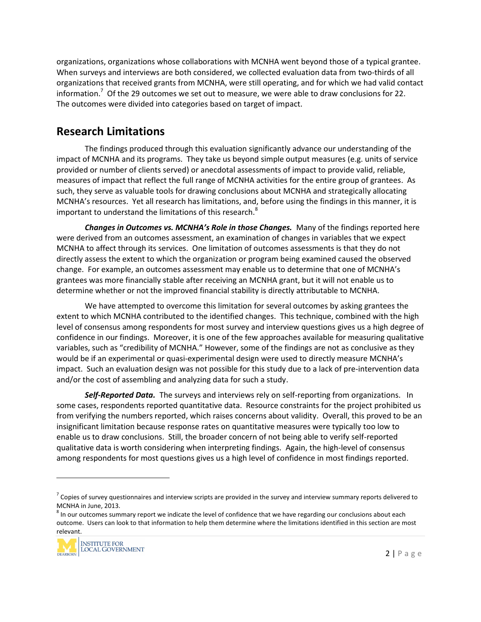organizations, organizations whose collaborations with MCNHA went beyond those of a typical grantee. When surveys and interviews are both considered, we collected evaluation data from two-thirds of all organizations that received grants from MCNHA, were still operating, and for which we had valid contact information.<sup>7</sup> Of the 29 outcomes we set out to measure, we were able to draw conclusions for 22. The outcomes were divided into categories based on target of impact.

# **Research Limitations**

The findings produced through this evaluation significantly advance our understanding of the impact of MCNHA and its programs. They take us beyond simple output measures (e.g. units of service provided or number of clients served) or anecdotal assessments of impact to provide valid, reliable, measures of impact that reflect the full range of MCNHA activities for the entire group of grantees. As such, they serve as valuable tools for drawing conclusions about MCNHA and strategically allocating MCNHA's resources. Yet all research has limitations, and, before using the findings in this manner, it is important to understand the limitations of this research.<sup>8</sup>

*Changes in Outcomes vs. MCNHA's Role in those Changes.* Many of the findings reported here were derived from an outcomes assessment, an examination of changes in variables that we expect MCNHA to affect through its services. One limitation of outcomes assessments is that they do not directly assess the extent to which the organization or program being examined caused the observed change. For example, an outcomes assessment may enable us to determine that one of MCNHA's grantees was more financially stable after receiving an MCNHA grant, but it will not enable us to determine whether or not the improved financial stability is directly attributable to MCNHA.

We have attempted to overcome this limitation for several outcomes by asking grantees the extent to which MCNHA contributed to the identified changes. This technique, combined with the high level of consensus among respondents for most survey and interview questions gives us a high degree of confidence in our findings. Moreover, it is one of the few approaches available for measuring qualitative variables, such as "credibility of MCNHA." However, some of the findings are not as conclusive as they would be if an experimental or quasi-experimental design were used to directly measure MCNHA's impact. Such an evaluation design was not possible for this study due to a lack of pre-intervention data and/or the cost of assembling and analyzing data for such a study.

*Self-Reported Data.* The surveys and interviews rely on self-reporting from organizations. In some cases, respondents reported quantitative data. Resource constraints for the project prohibited us from verifying the numbers reported, which raises concerns about validity. Overall, this proved to be an insignificant limitation because response rates on quantitative measures were typically too low to enable us to draw conclusions. Still, the broader concern of not being able to verify self-reported qualitative data is worth considering when interpreting findings. Again, the high-level of consensus among respondents for most questions gives us a high level of confidence in most findings reported.

ut each<br>n are most<br>2 | P a g e MCNHA in June, 2013.<br><sup>8</sup> In our outcomes summary report we indicate the level of confidence that we have regarding our conclusions about each outcome. Users can look to that information to help them determine where the limitations identified in this section are most relevant.



 $7$  Copies of survey questionnaires and interview scripts are provided in the survey and interview summary reports delivered to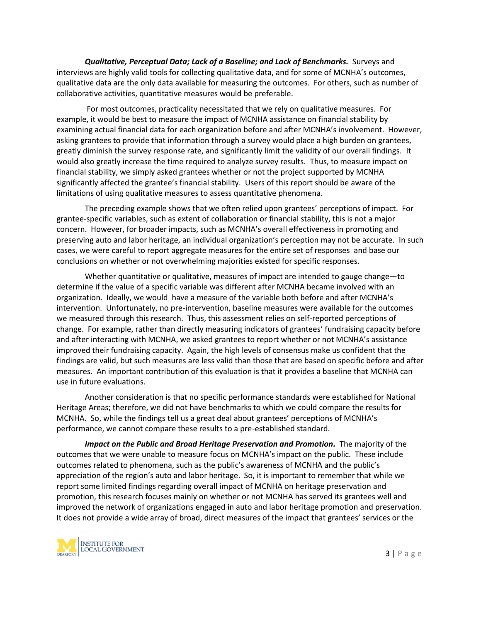*Qualitative, Perceptual Data; Lack of a Baseline; and Lack of Benchmarks.* Surveys and interviews are highly valid tools for collecting qualitative data, and for some of MCNHA's outcomes, qualitative data are the only data available for measuring the outcomes. For others, such as number of collaborative activities, quantitative measures would be preferable.

For most outcomes, practicality necessitated that we rely on qualitative measures. For example, it would be best to measure the impact of MCNHA assistance on financial stability by examining actual financial data for each organization before and after MCNHA's involvement. However, asking grantees to provide that information through a survey would place a high burden on grantees, greatly diminish the survey response rate, and significantly limit the validity of our overall findings. It would also greatly increase the time required to analyze survey results. Thus, to measure impact on financial stability, we simply asked grantees whether or not the project supported by MCNHA significantly affected the grantee's financial stability. Users of this report should be aware of the limitations of using qualitative measures to assess quantitative phenomena.

The preceding example shows that we often relied upon grantees' perceptions of impact. For grantee-specific variables, such as extent of collaboration or financial stability, this is not a major concern. However, for broader impacts, such as MCNHA's overall effectiveness in promoting and preserving auto and labor heritage, an individual organization's perception may not be accurate. In such cases, we were careful to report aggregate measures for the entire set of responses and base our conclusions on whether or not overwhelming majorities existed for specific responses.

Whether quantitative or qualitative, measures of impact are intended to gauge change—to determine if the value of a specific variable was different after MCNHA became involved with an organization. Ideally, we would have a measure of the variable both before and after MCNHA's intervention. Unfortunately, no pre-intervention, baseline measures were available for the outcomes we measured through this research. Thus, this assessment relies on self-reported perceptions of change. For example, rather than directly measuring indicators of grantees' fundraising capacity before and after interacting with MCNHA, we asked grantees to report whether or not MCNHA's assistance improved their fundraising capacity. Again, the high levels of consensus make us confident that the findings are valid, but such measures are less valid than those that are based on specific before and after measures. An important contribution of this evaluation is that it provides a baseline that MCNHA can use in future evaluations.

Another consideration is that no specific performance standards were established for National Heritage Areas; therefore, we did not have benchmarks to which we could compare the results for MCNHA. So, while the findings tell us a great deal about grantees' perceptions of MCNHA's performance, we cannot compare these results to a pre-established standard.

eservation.<br>
So the<br>
3 | P a g e *Impact on the Public and Broad Heritage Preservation and Promotion.* The majority of the outcomes that we were unable to measure focus on MCNHA's impact on the public. These include outcomes related to phenomena, such as the public's awareness of MCNHA and the public's appreciation of the region's auto and labor heritage. So, it is important to remember that while we report some limited findings regarding overall impact of MCNHA on heritage preservation and promotion, this research focuses mainly on whether or not MCNHA has served its grantees well and improved the network of organizations engaged in auto and labor heritage promotion and preservation. It does not provide a wide array of broad, direct measures of the impact that grantees' services or the

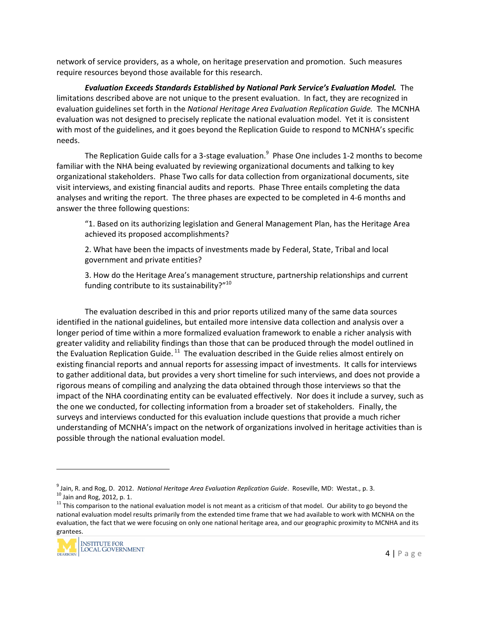network of service providers, as a whole, on heritage preservation and promotion. Such measures require resources beyond those available for this research.

*Evaluation Exceeds Standards Established by National Park Service's Evaluation Model.* The limitations described above are not unique to the present evaluation. In fact, they are recognized in evaluation guidelines set forth in the *National Heritage Area Evaluation Replication Guide.* The MCNHA evaluation was not designed to precisely replicate the national evaluation model. Yet it is consistent with most of the guidelines, and it goes beyond the Replication Guide to respond to MCNHA's specific needs.

The Replication Guide calls for a 3-stage evaluation.<sup>9</sup> Phase One includes 1-2 months to become familiar with the NHA being evaluated by reviewing organizational documents and talking to key organizational stakeholders. Phase Two calls for data collection from organizational documents, site visit interviews, and existing financial audits and reports. Phase Three entails completing the data analyses and writing the report. The three phases are expected to be completed in 4-6 months and answer the three following questions:

"1. Based on its authorizing legislation and General Management Plan, has the Heritage Area achieved its proposed accomplishments?

2. What have been the impacts of investments made by Federal, State, Tribal and local government and private entities?

3. How do the Heritage Area's management structure, partnership relationships and current funding contribute to its sustainability?"<sup>10</sup>

The evaluation described in this and prior reports utilized many of the same data sources identified in the national guidelines, but entailed more intensive data collection and analysis over a longer period of time within a more formalized evaluation framework to enable a richer analysis with greater validity and reliability findings than those that can be produced through the model outlined in the Evaluation Replication Guide.<sup>11</sup> The evaluation described in the Guide relies almost entirely on existing financial reports and annual reports for assessing impact of investments. It calls for interviews to gather additional data, but provides a very short timeline for such interviews, and does not provide a rigorous means of compiling and analyzing the data obtained through those interviews so that the impact of the NHA coordinating entity can be evaluated effectively. Nor does it include a survey, such as the one we conducted, for collecting information from a broader set of stakeholders. Finally, the surveys and interviews conducted for this evaluation include questions that provide a much richer understanding of MCNHA's impact on the network of organizations involved in heritage activities than is possible through the national evaluation model.

ond the<br>IHA on the<br>NHA and its<br>4 | P a g e national evaluation model results primarily from the extended time frame that we had available to work with MCNHA on the evaluation, the fact that we were focusing on only one national heritage area, and our geographic proximity to MCNHA and its grantees.



<sup>&</sup>lt;sup>9</sup> Jain, R. and Rog, D. 2012. National Heritage Area Evaluation Replication Guide. Roseville, MD: Westat., p. 3. <sup>10</sup> Jain and Rog, 2012, p. 1.<br><sup>11</sup> This comparison to the national evaluation model is not meant as a criticism of that model. Our ability to go beyond the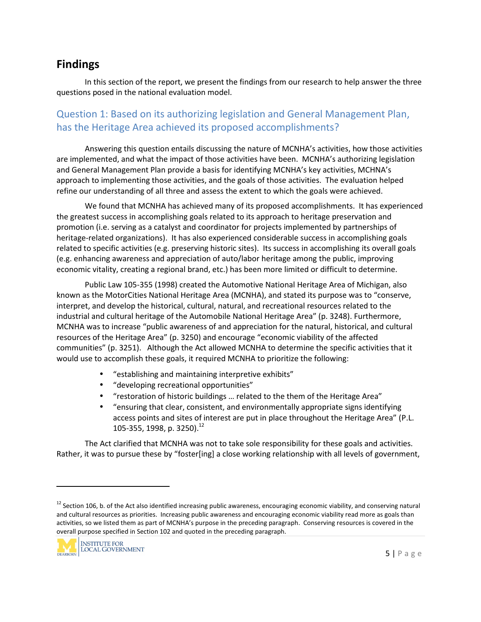# **Findings**

In this section of the report, we present the findings from our research to help answer the three questions posed in the national evaluation model.

# Question 1: Based on its authorizing legislation and General Management Plan, has the Heritage Area achieved its proposed accomplishments?

Answering this question entails discussing the nature of MCNHA's activities, how those activities are implemented, and what the impact of those activities have been. MCNHA's authorizing legislation and General Management Plan provide a basis for identifying MCNHA's key activities, MCHNA's approach to implementing those activities, and the goals of those activities. The evaluation helped refine our understanding of all three and assess the extent to which the goals were achieved.

We found that MCNHA has achieved many of its proposed accomplishments. It has experienced the greatest success in accomplishing goals related to its approach to heritage preservation and promotion (i.e. serving as a catalyst and coordinator for projects implemented by partnerships of heritage-related organizations). It has also experienced considerable success in accomplishing goals related to specific activities (e.g. preserving historic sites). Its success in accomplishing its overall goals (e.g. enhancing awareness and appreciation of auto/labor heritage among the public, improving economic vitality, creating a regional brand, etc.) has been more limited or difficult to determine.

Public Law 105-355 (1998) created the Automotive National Heritage Area of Michigan, also known as the MotorCities National Heritage Area (MCNHA), and stated its purpose was to "conserve, interpret, and develop the historical, cultural, natural, and recreational resources related to the industrial and cultural heritage of the Automobile National Heritage Area" (p. 3248). Furthermore, MCNHA was to increase "public awareness of and appreciation for the natural, historical, and cultural resources of the Heritage Area" (p. 3250) and encourage "economic viability of the affected communities" (p. 3251). Although the Act allowed MCNHA to determine the specific activities that it would use to accomplish these goals, it required MCNHA to prioritize the following:

- "establishing and maintaining interpretive exhibits"
- "developing recreational opportunities"
- "restoration of historic buildings … related to the them of the Heritage Area"
- "ensuring that clear, consistent, and environmentally appropriate signs identifying access points and sites of interest are put in place throughout the Heritage Area" (P.L. 105-355, 1998, p. 3250).<sup>12</sup>

The Act clarified that MCNHA was not to take sole responsibility for these goals and activities. Rather, it was to pursue these by "foster[ing] a close working relationship with all levels of government,

ving natural<br>goals than<br>red in the<br>5 | P a g e  $12$  Section 106, b. of the Act also identified increasing public awareness, encouraging economic viability, and conserving natural and cultural resources as priorities. Increasing public awareness and encouraging economic viability read more as goals than activities, so we listed them as part of MCNHA's purpose in the preceding paragraph. Conserving resources is covered in the overall purpose specified in Section 102 and quoted in the preceding paragraph.

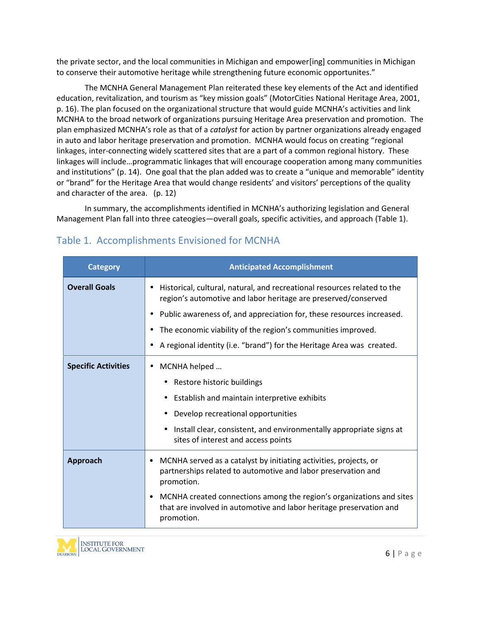the private sector, and the local communities in Michigan and empower[ing] communities in Michigan to conserve their automotive heritage while strengthening future economic opportunites."

The MCNHA General Management Plan reiterated these key elements of the Act and identified education, revitalization, and tourism as "key mission goals" (MotorCities National Heritage Area, 2001, p. 16). The plan focused on the organizational structure that would guide MCNHA's activities and link MCNHA to the broad network of organizations pursuing Heritage Area preservation and promotion. The plan emphasized MCNHA's role as that of a *catalyst* for action by partner organizations already engaged in auto and labor heritage preservation and promotion. MCNHA would focus on creating "regional linkages, inter-connecting widely scattered sites that are a part of a common regional history. These linkages will include…programmatic linkages that will encourage cooperation among many communities and institutions" (p. 14). One goal that the plan added was to create a "unique and memorable" identity or "brand" for the Heritage Area that would change residents' and visitors' perceptions of the quality and character of the area. (p. 12)

In summary, the accomplishments identified in MCNHA's authorizing legislation and General Management Plan fall into three cateogies—overall goals, specific activities, and approach (Table 1).

| <b>Category</b>            | <b>Anticipated Accomplishment</b>                                                                                                                              |
|----------------------------|----------------------------------------------------------------------------------------------------------------------------------------------------------------|
| <b>Overall Goals</b>       | Historical, cultural, natural, and recreational resources related to the<br>region's automotive and labor heritage are preserved/conserved                     |
|                            | Public awareness of, and appreciation for, these resources increased.<br>$\bullet$                                                                             |
|                            | The economic viability of the region's communities improved.<br>٠                                                                                              |
|                            | A regional identity (i.e. "brand") for the Heritage Area was created.                                                                                          |
| <b>Specific Activities</b> | MCNHA helped<br>$\bullet$                                                                                                                                      |
|                            | Restore historic buildings                                                                                                                                     |
|                            | Establish and maintain interpretive exhibits                                                                                                                   |
|                            | Develop recreational opportunities                                                                                                                             |
|                            | Install clear, consistent, and environmentally appropriate signs at<br>sites of interest and access points                                                     |
| Approach                   | MCNHA served as a catalyst by initiating activities, projects, or<br>partnerships related to automotive and labor preservation and<br>promotion.               |
|                            | MCNHA created connections among the region's organizations and sites<br>٠<br>that are involved in automotive and labor heritage preservation and<br>promotion. |

# Table 1. Accomplishments Envisioned for MCNHA

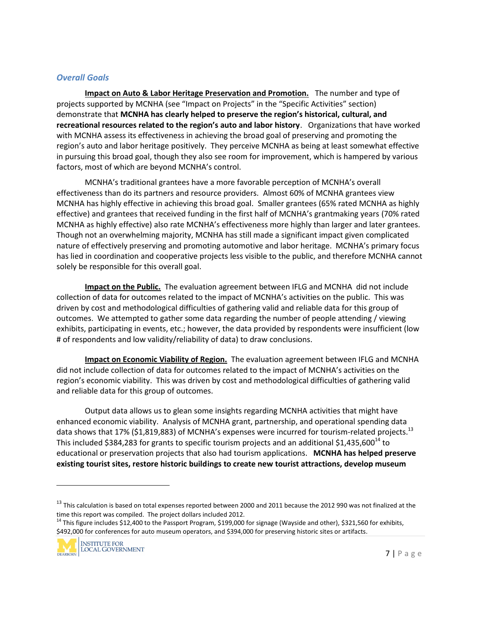#### *Overall Goals*

**Impact on Auto & Labor Heritage Preservation and Promotion.** The number and type of projects supported by MCNHA (see "Impact on Projects" in the "Specific Activities" section) demonstrate that **MCNHA has clearly helped to preserve the region's historical, cultural, and recreational resources related to the region's auto and labor history**. Organizations that have worked with MCNHA assess its effectiveness in achieving the broad goal of preserving and promoting the region's auto and labor heritage positively. They perceive MCNHA as being at least somewhat effective in pursuing this broad goal, though they also see room for improvement, which is hampered by various factors, most of which are beyond MCNHA's control.

MCNHA's traditional grantees have a more favorable perception of MCNHA's overall effectiveness than do its partners and resource providers. Almost 60% of MCNHA grantees view MCNHA has highly effective in achieving this broad goal. Smaller grantees (65% rated MCNHA as highly effective) and grantees that received funding in the first half of MCNHA's grantmaking years (70% rated MCNHA as highly effective) also rate MCNHA's effectiveness more highly than larger and later grantees. Though not an overwhelming majority, MCNHA has still made a significant impact given complicated nature of effectively preserving and promoting automotive and labor heritage. MCNHA's primary focus has lied in coordination and cooperative projects less visible to the public, and therefore MCNHA cannot solely be responsible for this overall goal.

**Impact on the Public.** The evaluation agreement between IFLG and MCNHA did not include collection of data for outcomes related to the impact of MCNHA's activities on the public. This was driven by cost and methodological difficulties of gathering valid and reliable data for this group of outcomes. We attempted to gather some data regarding the number of people attending / viewing exhibits, participating in events, etc.; however, the data provided by respondents were insufficient (low # of respondents and low validity/reliability of data) to draw conclusions.

**Impact on Economic Viability of Region.** The evaluation agreement between IFLG and MCNHA did not include collection of data for outcomes related to the impact of MCNHA's activities on the region's economic viability. This was driven by cost and methodological difficulties of gathering valid and reliable data for this group of outcomes.

Output data allows us to glean some insights regarding MCNHA activities that might have enhanced economic viability. Analysis of MCNHA grant, partnership, and operational spending data data shows that 17% (\$1,819,883) of MCNHA's expenses were incurred for tourism-related projects.<sup>13</sup> This included \$384,283 for grants to specific tourism projects and an additional \$1,435,600<sup>14</sup> to educational or preservation projects that also had tourism applications. **MCNHA has helped preserve existing tourist sites, restore historic buildings to create new tourist attractions, develop museum**

<sup>\$492,000</sup> for conferences for auto museum operators, and \$394,000 for preserving historic sites or artifacts.



ized at the<br>
shibits,<br> **7** | P a g e  $^{13}$  This calculation is based on total expenses reported between 2000 and 2011 because the 2012 990 was not finalized at the time this report was compiled. The project dollars included 2012.<br><sup>14</sup> This figure includes \$12,400 to the Passport Program, \$199,000 for signage (Wayside and other), \$321,560 for exhibits,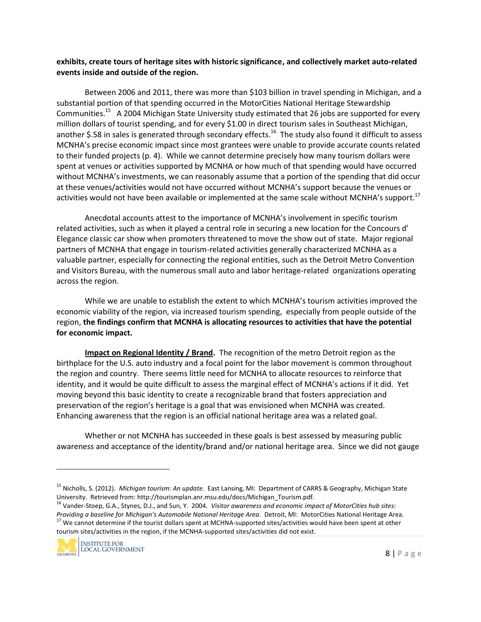#### **exhibits, create tours of heritage sites with historic significance, and collectively market auto-related events inside and outside of the region.**

Between 2006 and 2011, there was more than \$103 billion in travel spending in Michigan, and a substantial portion of that spending occurred in the MotorCities National Heritage Stewardship Communities.<sup>15</sup> A 2004 Michigan State University study estimated that 26 jobs are supported for every million dollars of tourist spending, and for every \$1.00 in direct tourism sales in Southeast Michigan, another \$.58 in sales is generated through secondary effects.<sup>16</sup> The study also found it difficult to assess MCNHA's precise economic impact since most grantees were unable to provide accurate counts related to their funded projects (p. 4). While we cannot determine precisely how many tourism dollars were spent at venues or activities supported by MCNHA or how much of that spending would have occurred without MCNHA's investments, we can reasonably assume that a portion of the spending that did occur at these venues/activities would not have occurred without MCNHA's support because the venues or activities would not have been available or implemented at the same scale without MCNHA's support.<sup>17</sup>

Anecdotal accounts attest to the importance of MCNHA's involvement in specific tourism related activities, such as when it played a central role in securing a new location for the Concours d' Elegance classic car show when promoters threatened to move the show out of state. Major regional partners of MCNHA that engage in tourism-related activities generally characterized MCNHA as a valuable partner, especially for connecting the regional entities, such as the Detroit Metro Convention and Visitors Bureau, with the numerous small auto and labor heritage-related organizations operating across the region.

While we are unable to establish the extent to which MCNHA's tourism activities improved the economic viability of the region, via increased tourism spending, especially from people outside of the region, **the findings confirm that MCNHA is allocating resources to activities that have the potential for economic impact.**

**Impact on Regional Identity / Brand.** The recognition of the metro Detroit region as the birthplace for the U.S. auto industry and a focal point for the labor movement is common throughout the region and country. There seems little need for MCNHA to allocate resources to reinforce that identity, and it would be quite difficult to assess the marginal effect of MCNHA's actions if it did. Yet moving beyond this basic identity to create a recognizable brand that fosters appreciation and preservation of the region's heritage is a goal that was envisioned when MCNHA was created. Enhancing awareness that the region is an official national heritage area was a related goal.

Whether or not MCNHA has succeeded in these goals is best assessed by measuring public awareness and acceptance of the identity/brand and/or national heritage area. Since we did not gauge

t*es:*<br>e Area.<br>other<br>8 | P a g e <sup>16</sup> Vander-Stoep, G.A., Stynes, D.J., and Sun, Y. 2004. *Visitor awareness and economic impact of MotorCities hub sites:* Providing a baseline for Michigan's Automobile National Heritage Area. Detroit, MI: MotorCities National Heritage Area.<br><sup>17</sup> We cannot determine if the tourist dollars spent at MCHNA-supported sites/activities would have b tourism sites/activities in the region, if the MCNHA-supported sites/activities did not exist.



<sup>&</sup>lt;sup>15</sup> Nicholls, S. (2012). *Michigan tourism: An update.* East Lansing, MI: Department of CARRS & Geography, Michigan State<br>University. Retrieved from: http://tourismplan.anr.msu.edu/docs/Michigan\_Tourism.pdf.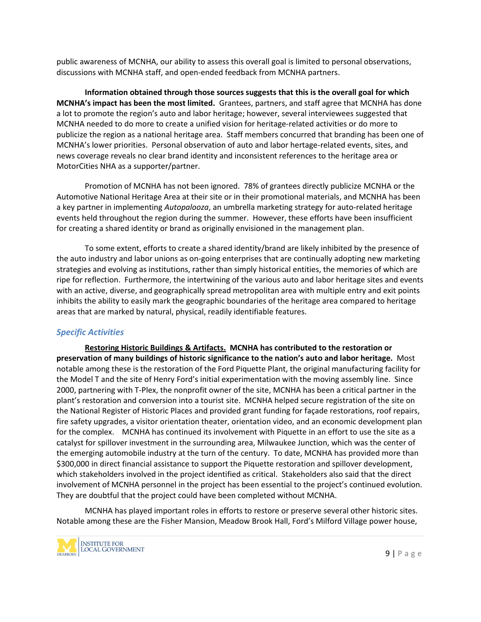public awareness of MCNHA, our ability to assess this overall goal is limited to personal observations, discussions with MCNHA staff, and open-ended feedback from MCNHA partners.

**Information obtained through those sources suggests that this is the overall goal for which MCNHA's impact has been the most limited.** Grantees, partners, and staff agree that MCNHA has done a lot to promote the region's auto and labor heritage; however, several interviewees suggested that MCNHA needed to do more to create a unified vision for heritage-related activities or do more to publicize the region as a national heritage area. Staff members concurred that branding has been one of MCNHA's lower priorities. Personal observation of auto and labor hertage-related events, sites, and news coverage reveals no clear brand identity and inconsistent references to the heritage area or MotorCities NHA as a supporter/partner.

Promotion of MCNHA has not been ignored. 78% of grantees directly publicize MCNHA or the Automotive National Heritage Area at their site or in their promotional materials, and MCNHA has been a key partner in implementing *Autopalooza*, an umbrella marketing strategy for auto-related heritage events held throughout the region during the summer. However, these efforts have been insufficient for creating a shared identity or brand as originally envisioned in the management plan.

To some extent, efforts to create a shared identity/brand are likely inhibited by the presence of the auto industry and labor unions as on-going enterprises that are continually adopting new marketing strategies and evolving as institutions, rather than simply historical entities, the memories of which are ripe for reflection. Furthermore, the intertwining of the various auto and labor heritage sites and events with an active, diverse, and geographically spread metropolitan area with multiple entry and exit points inhibits the ability to easily mark the geographic boundaries of the heritage area compared to heritage areas that are marked by natural, physical, readily identifiable features.

#### *Specific Activities*

**Restoring Historic Buildings & Artifacts. MCNHA has contributed to the restoration or preservation of many buildings of historic significance to the nation's auto and labor heritage.** Most notable among these is the restoration of the Ford Piquette Plant, the original manufacturing facility for the Model T and the site of Henry Ford's initial experimentation with the moving assembly line. Since 2000, partnering with T-Plex, the nonprofit owner of the site, MCNHA has been a critical partner in the plant's restoration and conversion into a tourist site. MCNHA helped secure registration of the site on the National Register of Historic Places and provided grant funding for façade restorations, roof repairs, fire safety upgrades, a visitor orientation theater, orientation video, and an economic development plan for the complex. MCNHA has continued its involvement with Piquette in an effort to use the site as a catalyst for spillover investment in the surrounding area, Milwaukee Junction, which was the center of the emerging automobile industry at the turn of the century. To date, MCNHA has provided more than \$300,000 in direct financial assistance to support the Piquette restoration and spillover development, which stakeholders involved in the project identified as critical. Stakeholders also said that the direct involvement of MCNHA personnel in the project has been essential to the project's continued evolution. They are doubtful that the project could have been completed without MCNHA.

oric sites.<br>er house,<br>9 | P a g e MCNHA has played important roles in efforts to restore or preserve several other historic sites. Notable among these are the Fisher Mansion, Meadow Brook Hall, Ford's Milford Village power house,

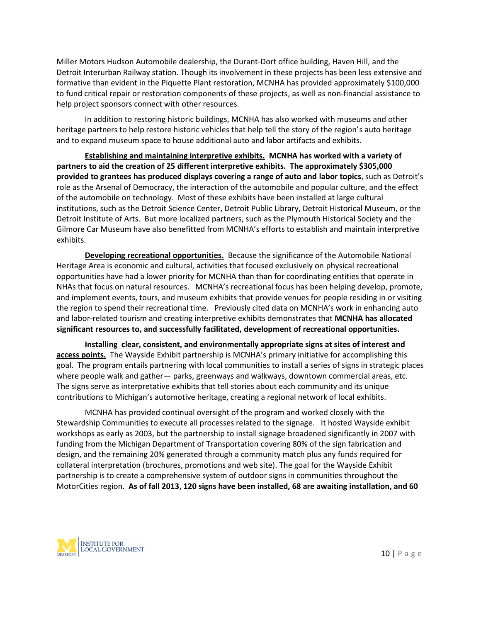Miller Motors Hudson Automobile dealership, the Durant-Dort office building, Haven Hill, and the Detroit Interurban Railway station. Though its involvement in these projects has been less extensive and formative than evident in the Piquette Plant restoration, MCNHA has provided approximately \$100,000 to fund critical repair or restoration components of these projects, as well as non-financial assistance to help project sponsors connect with other resources.

In addition to restoring historic buildings, MCNHA has also worked with museums and other heritage partners to help restore historic vehicles that help tell the story of the region's auto heritage and to expand museum space to house additional auto and labor artifacts and exhibits.

**Establishing and maintaining interpretive exhibits. MCNHA has worked with a variety of partners to aid the creation of 25 different interpretive exhibits. The approximately \$305,000 provided to grantees has produced displays covering a range of auto and labor topics**, such as Detroit's role as the Arsenal of Democracy, the interaction of the automobile and popular culture, and the effect of the automobile on technology. Most of these exhibits have been installed at large cultural institutions, such as the Detroit Science Center, Detroit Public Library, Detroit Historical Museum, or the Detroit Institute of Arts. But more localized partners, such as the Plymouth Historical Society and the Gilmore Car Museum have also benefitted from MCNHA's efforts to establish and maintain interpretive exhibits.

**Developing recreational opportunities.** Because the significance of the Automobile National Heritage Area is economic and cultural, activities that focused exclusively on physical recreational opportunities have had a lower priority for MCNHA than than for coordinating entities that operate in NHAs that focus on natural resources. MCNHA's recreational focus has been helping develop, promote, and implement events, tours, and museum exhibits that provide venues for people residing in or visiting the region to spend their recreational time. Previously cited data on MCNHA's work in enhancing auto and labor-related tourism and creating interpretive exhibits demonstrates that **MCNHA has allocated significant resources to, and successfully facilitated, development of recreational opportunities.**

**Installing clear, consistent, and environmentally appropriate signs at sites of interest and access points.** The Wayside Exhibit partnership is MCNHA's primary initiative for accomplishing this goal. The program entails partnering with local communities to install a series of signs in strategic places where people walk and gather— parks, greenways and walkways, downtown commercial areas, etc. The signs serve as interpretative exhibits that tell stories about each community and its unique contributions to Michigan's automotive heritage, creating a regional network of local exhibits.

MCNHA has provided continual oversight of the program and worked closely with the Stewardship Communities to execute all processes related to the signage. It hosted Wayside exhibit workshops as early as 2003, but the partnership to install signage broadened significantly in 2007 with funding from the Michigan Department of Transportation covering 80% of the sign fabrication and design, and the remaining 20% generated through a community match plus any funds required for collateral interpretation (brochures, promotions and web site). The goal for the Wayside Exhibit partnership is to create a comprehensive system of outdoor signs in communities throughout the MotorCities region. **As of fall 2013, 120 signs have been installed, 68 are awaiting installation, and 60**

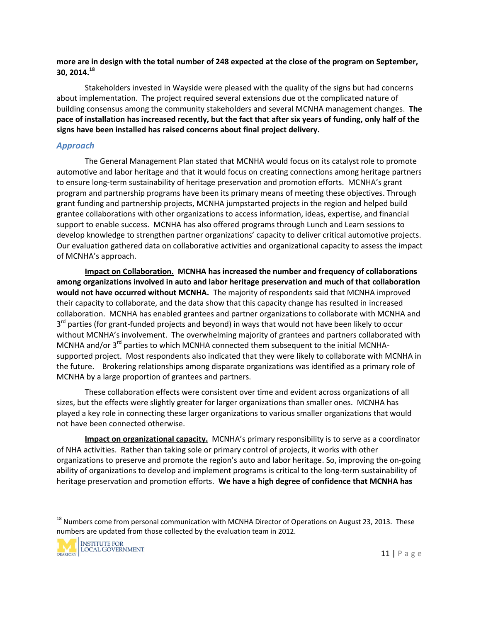**more are in design with the total number of 248 expected at the close of the program on September, 30, 2014.<sup>18</sup>**

Stakeholders invested in Wayside were pleased with the quality of the signs but had concerns about implementation. The project required several extensions due ot the complicated nature of building consensus among the community stakeholders and several MCNHA management changes. **The pace of installation has increased recently, but the fact that after six years of funding, only half of the signs have been installed has raised concerns about final project delivery.**

#### *Approach*

The General Management Plan stated that MCNHA would focus on its catalyst role to promote automotive and labor heritage and that it would focus on creating connections among heritage partners to ensure long-term sustainability of heritage preservation and promotion efforts. MCNHA's grant program and partnership programs have been its primary means of meeting these objectives. Through grant funding and partnership projects, MCNHA jumpstarted projects in the region and helped build grantee collaborations with other organizations to access information, ideas, expertise, and financial support to enable success. MCNHA has also offered programs through Lunch and Learn sessions to develop knowledge to strengthen partner organizations' capacity to deliver critical automotive projects. Our evaluation gathered data on collaborative activities and organizational capacity to assess the impact of MCNHA's approach.

**Impact on Collaboration. MCNHA has increased the number and frequency of collaborations among organizations involved in auto and labor heritage preservation and much of that collaboration would not have occurred without MCNHA.** The majority of respondents said that MCNHA improved their capacity to collaborate, and the data show that this capacity change has resulted in increased collaboration. MCNHA has enabled grantees and partner organizations to collaborate with MCNHA and 3<sup>rd</sup> parties (for grant-funded projects and beyond) in ways that would not have been likely to occur without MCNHA's involvement. The overwhelming majority of grantees and partners collaborated with MCNHA and/or  $3^{rd}$  parties to which MCNHA connected them subsequent to the initial MCNHAsupported project. Most respondents also indicated that they were likely to collaborate with MCNHA in the future. Brokering relationships among disparate organizations was identified as a primary role of MCNHA by a large proportion of grantees and partners.

These collaboration effects were consistent over time and evident across organizations of all sizes, but the effects were slightly greater for larger organizations than smaller ones. MCNHA has played a key role in connecting these larger organizations to various smaller organizations that would not have been connected otherwise.

**Impact on organizational capacity.** MCNHA's primary responsibility is to serve as a coordinator of NHA activities. Rather than taking sole or primary control of projects, it works with other organizations to preserve and promote the region's auto and labor heritage. So, improving the on-going ability of organizations to develop and implement programs is critical to the long-term sustainability of heritage preservation and promotion efforts. **We have a high degree of confidence that MCNHA has**

 $11.$  These<br>11 | P a g e <sup>18</sup> Numbers come from personal communication with MCNHA Director of Operations on August 23, 2013. These numbers are updated from those collected by the evaluation team in 2012.

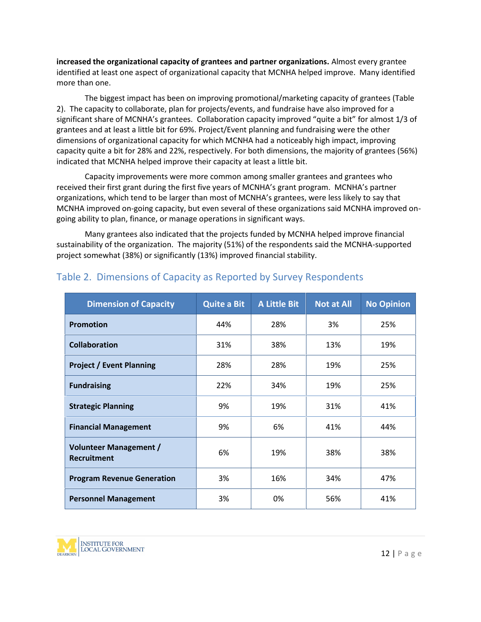**increased the organizational capacity of grantees and partner organizations.** Almost every grantee identified at least one aspect of organizational capacity that MCNHA helped improve. Many identified more than one.

The biggest impact has been on improving promotional/marketing capacity of grantees (Table 2). The capacity to collaborate, plan for projects/events, and fundraise have also improved for a significant share of MCNHA's grantees. Collaboration capacity improved "quite a bit" for almost 1/3 of grantees and at least a little bit for 69%. Project/Event planning and fundraising were the other dimensions of organizational capacity for which MCNHA had a noticeably high impact, improving capacity quite a bit for 28% and 22%, respectively. For both dimensions, the majority of grantees (56%) indicated that MCNHA helped improve their capacity at least a little bit.

Capacity improvements were more common among smaller grantees and grantees who received their first grant during the first five years of MCNHA's grant program. MCNHA's partner organizations, which tend to be larger than most of MCNHA's grantees, were less likely to say that MCNHA improved on-going capacity, but even several of these organizations said MCNHA improved on going ability to plan, finance, or manage operations in significant ways.

Many grantees also indicated that the projects funded by MCNHA helped improve financial sustainability of the organization. The majority (51%) of the respondents said the MCNHA-supported project somewhat (38%) or significantly (13%) improved financial stability.

| <b>Dimension of Capacity</b>                        | <b>Quite a Bit</b> | <b>A Little Bit</b> | <b>Not at All</b> | <b>No Opinion</b> |
|-----------------------------------------------------|--------------------|---------------------|-------------------|-------------------|
| <b>Promotion</b>                                    | 44%                | 28%                 | 3%                | 25%               |
| <b>Collaboration</b>                                | 31%                | 38%                 | 13%               | 19%               |
| <b>Project / Event Planning</b>                     | 28%                | 28%                 | 19%               | 25%               |
| <b>Fundraising</b>                                  | 22%                | 34%                 | 19%               | 25%               |
| <b>Strategic Planning</b>                           | 9%                 | 19%                 | 31%               | 41%               |
| <b>Financial Management</b>                         | 9%                 | 6%                  | 41%               | 44%               |
| <b>Volunteer Management /</b><br><b>Recruitment</b> | 6%                 | 19%                 | 38%               | 38%               |
| <b>Program Revenue Generation</b>                   | 3%                 | 16%                 | 34%               | 47%               |
| <b>Personnel Management</b>                         | 3%                 | 0%                  | 56%               | 41%               |

### Table 2. Dimensions of Capacity as Reported by Survey Respondents

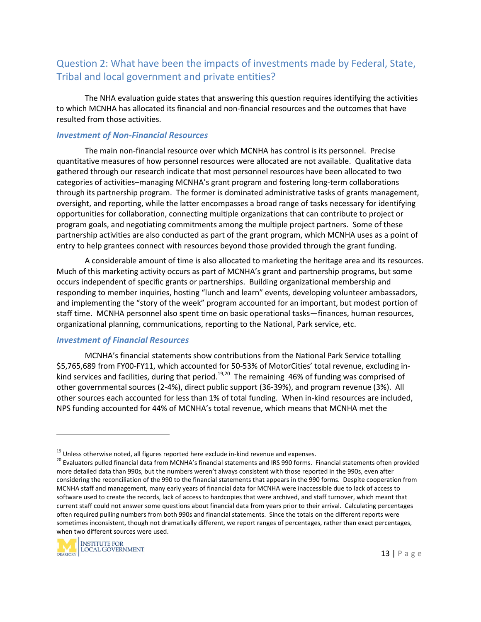# Question 2: What have been the impacts of investments made by Federal, State, Tribal and local government and private entities?

The NHA evaluation guide states that answering this question requires identifying the activities to which MCNHA has allocated its financial and non-financial resources and the outcomes that have resulted from those activities.

#### *Investment of Non-Financial Resources*

The main non-financial resource over which MCNHA has control is its personnel. Precise quantitative measures of how personnel resources were allocated are not available. Qualitative data gathered through our research indicate that most personnel resources have been allocated to two categories of activities–managing MCNHA's grant program and fostering long-term collaborations through its partnership program. The former is dominated administrative tasks of grants management, oversight, and reporting, while the latter encompasses a broad range of tasks necessary for identifying opportunities for collaboration, connecting multiple organizations that can contribute to project or program goals, and negotiating commitments among the multiple project partners. Some of these partnership activities are also conducted as part of the grant program, which MCNHA uses as a point of entry to help grantees connect with resources beyond those provided through the grant funding.

A considerable amount of time is also allocated to marketing the heritage area and its resources. Much of this marketing activity occurs as part of MCNHA's grant and partnership programs, but some occurs independent of specific grants or partnerships. Building organizational membership and responding to member inquiries, hosting "lunch and learn" events, developing volunteer ambassadors, and implementing the "story of the week" program accounted for an important, but modest portion of staff time. MCNHA personnel also spent time on basic operational tasks—finances, human resources, organizational planning, communications, reporting to the National, Park service, etc.

#### *Investment of Financial Resources*

MCNHA's financial statements show contributions from the National Park Service totalling \$5,765,689 from FY00-FY11, which accounted for 50-53% of MotorCities' total revenue, excluding in kind services and facilities, during that period.<sup>19,20</sup> The remaining 46% of funding was comprised of other governmental sources (2-4%), direct public support (36-39%), and program revenue (3%). All other sources each accounted for less than 1% of total funding. When in-kind resources are included, NPS funding accounted for 44% of MCNHA's total revenue, which means that MCNHA met the

ercentages<br>s were<br>rrcentages,<br>13 | P a g e <sup>19</sup> Unless otherwise noted, all figures reported here exclude in-kind revenue and expenses.<br><sup>20</sup> Evaluators pulled financial data from MCNHA's financial statements and IRS 990 forms. Financial statements often provided more detailed data than 990s, but the numbers weren't always consistent with those reported in the 990s, even after considering the reconciliation of the 990 to the financial statements that appears in the 990 forms. Despite cooperation from MCNHA staff and management, many early years of financial data for MCNHA were inaccessible due to lack of access to software used to create the records, lack of access to hardcopies that were archived, and staff turnover, which meant that current staff could not answer some questions about financial data from years prior to their arrival. Calculating percentages often required pulling numbers from both 990s and financial statements. Since the totals on the different reports were sometimes inconsistent, though not dramatically different, we report ranges of percentages, rather than exact percentages, when two different sources were used.

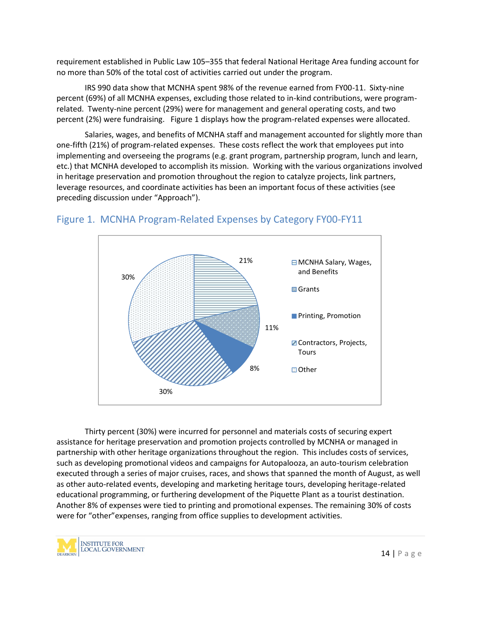requirement established in Public Law 105–355 that federal National Heritage Area funding account for no more than 50% of the total cost of activities carried out under the program.

IRS 990 data show that MCNHA spent 98% of the revenue earned from FY00-11. Sixty-nine percent (69%) of all MCNHA expenses, excluding those related to in-kind contributions, were program related. Twenty-nine percent (29%) were for management and general operating costs, and two percent (2%) were fundraising. Figure 1 displays how the program-related expenses were allocated.

Salaries, wages, and benefits of MCNHA staff and management accounted for slightly more than one-fifth (21%) of program-related expenses. These costs reflect the work that employees put into implementing and overseeing the programs (e.g. grant program, partnership program, lunch and learn, etc.) that MCNHA developed to accomplish its mission. Working with the various organizations involved in heritage preservation and promotion throughout the region to catalyze projects, link partners, leverage resources, and coordinate activities has been an important focus of these activities (see preceding discussion under "Approach").



### Figure 1. MCNHA Program-Related Expenses by Category FY00-FY11

 $\frac{1}{14}$  | P a g e Thirty percent (30%) were incurred for personnel and materials costs of securing expert assistance for heritage preservation and promotion projects controlled by MCNHA or managed in partnership with other heritage organizations throughout the region. This includes costs of services, such as developing promotional videos and campaigns for Autopalooza, an auto-tourism celebration executed through a series of major cruises, races, and shows that spanned the month of August, as well as other auto-related events, developing and marketing heritage tours, developing heritage-related educational programming, or furthering development of the Piquette Plant as a tourist destination. Another 8% of expenses were tied to printing and promotional expenses. The remaining 30% of costs were for "other"expenses, ranging from office supplies to development activities.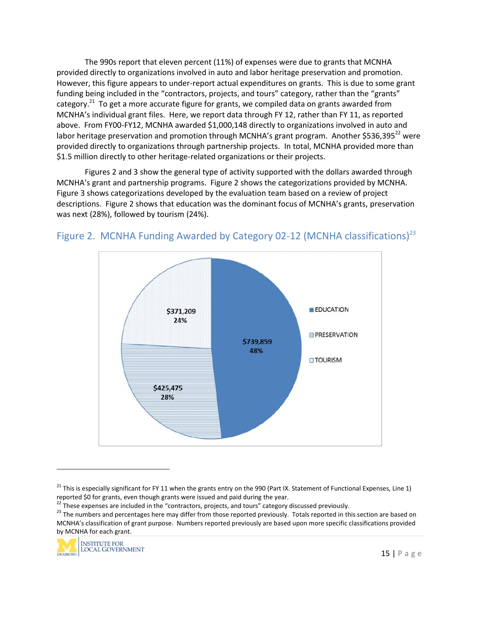The 990s report that eleven percent (11%) of expenses were due to grants that MCNHA provided directly to organizations involved in auto and labor heritage preservation and promotion. However, this figure appears to under-report actual expenditures on grants. This is due to some grant funding being included in the "contractors, projects, and tours" category, rather than the "grants" category.<sup>21</sup> To get a more accurate figure for grants, we compiled data on grants awarded from MCNHA's individual grant files. Here, we report data through FY 12, rather than FY 11, as reported above. From FY00-FY12, MCNHA awarded \$1,000,148 directly to organizations involved in auto and labor heritage preservation and promotion through MCNHA's grant program. Another \$536,395 $^{22}$  were provided directly to organizations through partnership projects. In total, MCNHA provided more than \$1.5 million directly to other heritage-related organizations or their projects.

Figures 2 and 3 show the general type of activity supported with the dollars awarded through MCNHA's grant and partnership programs. Figure 2 shows the categorizations provided by MCNHA. Figure 3 shows categorizations developed by the evaluation team based on a review of project descriptions. Figure 2 shows that education was the dominant focus of MCNHA's grants, preservation was next (28%), followed by tourism (24%).



# Figure 2. MCNHA Funding Awarded by Category 02-12 (MCNHA classifications)<sup>23</sup>

here based on<br>
ins provided<br>
15 | P a g e  $^{22}$  These expenses are included in the "contractors, projects, and tours" category discussed previously.<br><sup>23</sup> The numbers and percentages here may differ from those reported previously. Totals reported in this section MCNHA's classification of grant purpose. Numbers reported previously are based upon more specific classifications provided by MCNHA for each grant.



<sup>&</sup>lt;sup>21</sup> This is especially significant for FY 11 when the grants entry on the 990 (Part IX. Statement of Functional Expenses, Line 1) reported \$0 for grants, even though grants were issued and paid during the year.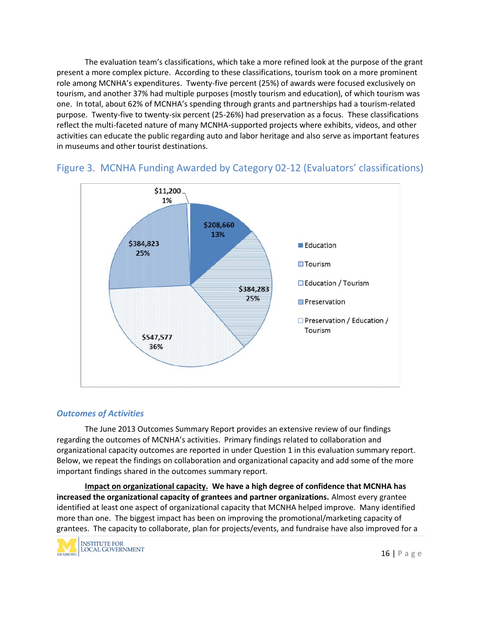The evaluation team's classifications, which take a more refined look at the purpose of the grant present a more complex picture. According to these classifications, tourism took on a more prominent role among MCNHA's expenditures. Twenty-five percent (25%) of awards were focused exclusively on tourism, and another 37% had multiple purposes (mostly tourism and education), of which tourism was one. In total, about 62% of MCNHA's spending through grants and partnerships had a tourism-related purpose. Twenty-five to twenty-six percent (25-26%) had preservation as a focus. These classifications reflect the multi-faceted nature of many MCNHA-supported projects where exhibits, videos, and other activities can educate the public regarding auto and labor heritage and also serve as important features in museums and other tourist destinations.



# Figure 3. MCNHA Funding Awarded by Category 02-12 (Evaluators' classifications)

#### *Outcomes of Activities*

The June 2013 Outcomes Summary Report provides an extensive review of our findings regarding the outcomes of MCNHA's activities. Primary findings related to collaboration and organizational capacity outcomes are reported in under Question 1 in this evaluation summary report. Below, we repeat the findings on collaboration and organizational capacity and add some of the more important findings shared in the outcomes summary report.

identified<br>city of<br>roved for a<br>16 | P a g e **Impact on organizational capacity. We have a high degree of confidence that MCNHA has increased the organizational capacity of grantees and partner organizations.** Almost every grantee identified at least one aspect of organizational capacity that MCNHA helped improve. Many identified more than one. The biggest impact has been on improving the promotional/marketing capacity of grantees. The capacity to collaborate, plan for projects/events, and fundraise have also improved for a

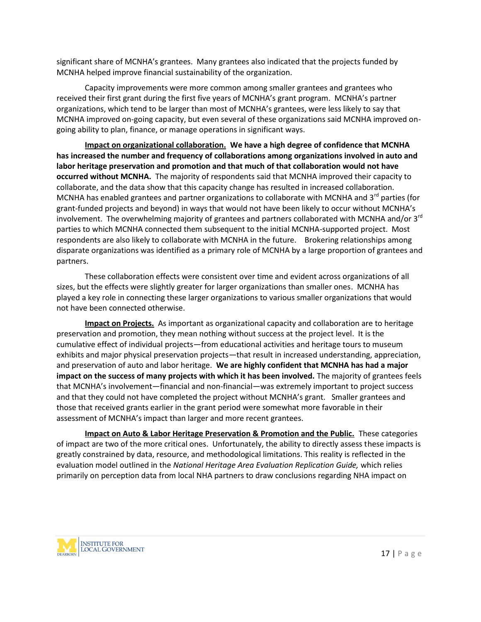significant share of MCNHA's grantees. Many grantees also indicated that the projects funded by MCNHA helped improve financial sustainability of the organization.

Capacity improvements were more common among smaller grantees and grantees who received their first grant during the first five years of MCNHA's grant program. MCNHA's partner organizations, which tend to be larger than most of MCNHA's grantees, were less likely to say that MCNHA improved on-going capacity, but even several of these organizations said MCNHA improved on going ability to plan, finance, or manage operations in significant ways.

**Impact on organizational collaboration. We have a high degree of confidence that MCNHA has increased the number and frequency of collaborations among organizations involved in auto and labor heritage preservation and promotion and that much of that collaboration would not have occurred without MCNHA.** The majority of respondents said that MCNHA improved their capacity to collaborate, and the data show that this capacity change has resulted in increased collaboration. MCNHA has enabled grantees and partner organizations to collaborate with MCNHA and  $3<sup>rd</sup>$  parties (for grant-funded projects and beyond) in ways that would not have been likely to occur without MCNHA's involvement. The overwhelming majority of grantees and partners collaborated with MCNHA and/or  $3<sup>rd</sup>$ parties to which MCNHA connected them subsequent to the initial MCNHA-supported project. Most respondents are also likely to collaborate with MCNHA in the future. Brokering relationships among disparate organizations was identified as a primary role of MCNHA by a large proportion of grantees and partners.

These collaboration effects were consistent over time and evident across organizations of all sizes, but the effects were slightly greater for larger organizations than smaller ones. MCNHA has played a key role in connecting these larger organizations to various smaller organizations that would not have been connected otherwise.

**Impact on Projects.** As important as organizational capacity and collaboration are to heritage preservation and promotion, they mean nothing without success at the project level. It is the cumulative effect of individual projects—from educational activities and heritage tours to museum exhibits and major physical preservation projects—that result in increased understanding, appreciation, and preservation of auto and labor heritage. **We are highly confident that MCNHA has had a major impact on the success of many projects with which it has been involved.** The majority of grantees feels that MCNHA's involvement—financial and non-financial—was extremely important to project success and that they could not have completed the project without MCNHA's grant. Smaller grantees and those that received grants earlier in the grant period were somewhat more favorable in their assessment of MCNHA's impact than larger and more recent grantees.

**Impact on Auto & Labor Heritage Preservation & Promotion and the Public.** These categories of impact are two of the more critical ones. Unfortunately, the ability to directly assess these impacts is greatly constrained by data, resource, and methodological limitations. This reality is reflected in the evaluation model outlined in the *National Heritage Area Evaluation Replication Guide,* which relies primarily on perception data from local NHA partners to draw conclusions regarding NHA impact on

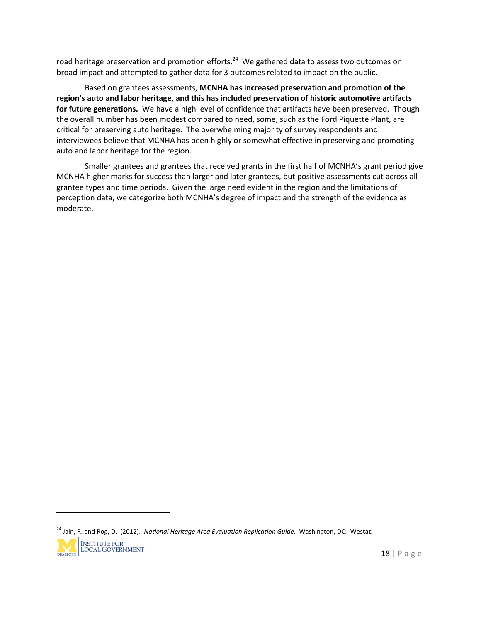road heritage preservation and promotion efforts.<sup>24</sup> We gathered data to assess two outcomes on broad impact and attempted to gather data for 3 outcomes related to impact on the public.

Based on grantees assessments, **MCNHA has increased preservation and promotion of the region's auto and labor heritage, and this has included preservation of historic automotive artifacts for future generations.** We have a high level of confidence that artifacts have been preserved. Though the overall number has been modest compared to need, some, such as the Ford Piquette Plant, are critical for preserving auto heritage. The overwhelming majority of survey respondents and interviewees believe that MCNHA has been highly or somewhat effective in preserving and promoting auto and labor heritage for the region.

Smaller grantees and grantees that received grants in the first half of MCNHA's grant period give MCNHA higher marks for success than larger and later grantees, but positive assessments cut across all grantee types and time periods. Given the large need evident in the region and the limitations of perception data, we categorize both MCNHA's degree of impact and the strength of the evidence as moderate.

<sup>24</sup> Jain, R. and Rog, D. (2012). *National Heritage Area Evaluation Replication Guide.* Washington, DC: Westat.

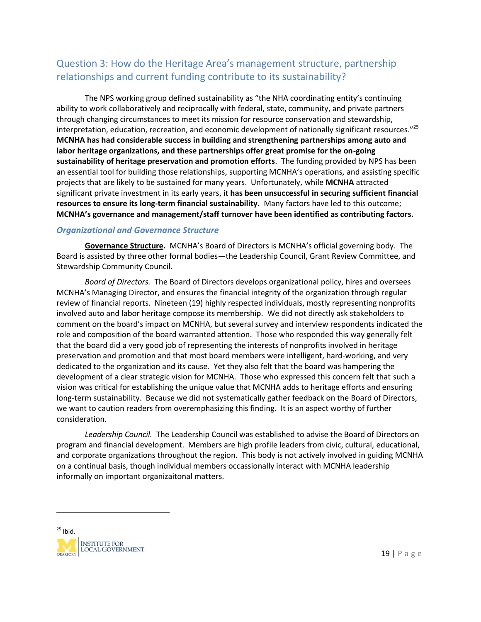# Question 3: How do the Heritage Area's management structure, partnership relationships and current funding contribute to its sustainability?

The NPS working group defined sustainability as "the NHA coordinating entity's continuing ability to work collaboratively and reciprocally with federal, state, community, and private partners through changing circumstances to meet its mission for resource conservation and stewardship, interpretation, education, recreation, and economic development of nationally significant resources."<sup>25</sup> **MCNHA has had considerable success in building and strengthening partnerships among auto and labor heritage organizations, and these partnerships offer great promise for the on-going sustainability of heritage preservation and promotion efforts**. The funding provided by NPS has been an essential tool for building those relationships, supporting MCNHA's operations, and assisting specific projects that are likely to be sustained for many years. Unfortunately, while **MCNHA** attracted significant private investment in its early years, it **has been unsuccessful in securing sufficient financial resources to ensure its long-term financial sustainability.** Many factors have led to this outcome; **MCNHA's governance and management/staff turnover have been identified as contributing factors.**

#### *Organizational and Governance Structure*

**Governance Structure.** MCNHA's Board of Directors is MCNHA's official governing body. The Board is assisted by three other formal bodies—the Leadership Council, Grant Review Committee, and Stewardship Community Council.

*Board of Directors.* The Board of Directors develops organizational policy, hires and oversees MCNHA's Managing Director, and ensures the financial integrity of the organization through regular review of financial reports. Nineteen (19) highly respected individuals, mostly representing nonprofits involved auto and labor heritage compose its membership. We did not directly ask stakeholders to comment on the board's impact on MCNHA, but several survey and interview respondents indicated the role and composition of the board warranted attention. Those who responded this way generally felt that the board did a very good job of representing the interests of nonprofits involved in heritage preservation and promotion and that most board members were intelligent, hard-working, and very dedicated to the organization and its cause. Yet they also felt that the board was hampering the development of a clear strategic vision for MCNHA. Those who expressed this concern felt that such a vision was critical for establishing the unique value that MCNHA adds to heritage efforts and ensuring long-term sustainability. Because we did not systematically gather feedback on the Board of Directors, we want to caution readers from overemphasizing this finding. It is an aspect worthy of further consideration.

*Leadership Council.* The Leadership Council was established to advise the Board of Directors on program and financial development. Members are high profile leaders from civic, cultural, educational, and corporate organizations throughout the region. This body is not actively involved in guiding MCNHA on a continual basis, though individual members occassionally interact with MCNHA leadership informally on important organizaitonal matters.

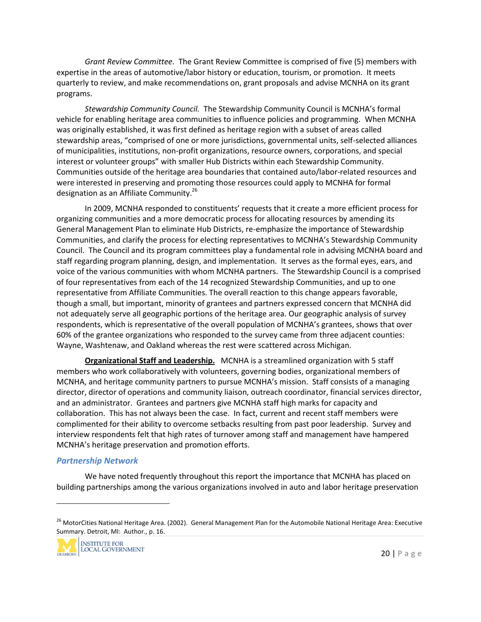*Grant Review Committee.* The Grant Review Committee is comprised of five (5) members with expertise in the areas of automotive/labor history or education, tourism, or promotion. It meets quarterly to review, and make recommendations on, grant proposals and advise MCNHA on its grant programs.

*Stewardship Community Council.* The Stewardship Community Council is MCNHA's formal vehicle for enabling heritage area communities to influence policies and programming. When MCNHA was originally established, it was first defined as heritage region with a subset of areas called stewardship areas, "comprised of one or more jurisdictions, governmental units, self-selected alliances of municipalities, institutions, non-profit organizations, resource owners, corporations, and special interest or volunteer groups" with smaller Hub Districts within each Stewardship Community. Communities outside of the heritage area boundaries that contained auto/labor-related resources and were interested in preserving and promoting those resources could apply to MCNHA for formal designation as an Affiliate Community.<sup>26</sup>

In 2009, MCNHA responded to constituents' requests that it create a more efficient process for organizing communities and a more democratic process for allocating resources by amending its General Management Plan to eliminate Hub Districts, re-emphasize the importance of Stewardship Communities, and clarify the process for electing representatives to MCNHA's Stewardship Community Council. The Council and its program committees play a fundamental role in advising MCNHA board and staff regarding program planning, design, and implementation. It serves as the formal eyes, ears, and voice of the various communities with whom MCNHA partners. The Stewardship Council is a comprised of four representatives from each of the 14 recognized Stewardship Communities, and up to one representative from Affiliate Communities. The overall reaction to this change appears favorable, though a small, but important, minority of grantees and partners expressed concern that MCNHA did not adequately serve all geographic portions of the heritage area. Our geographic analysis of survey respondents, which is representative of the overall population of MCNHA's grantees, shows that over 60% of the grantee organizations who responded to the survey came from three adjacent counties: Wayne, Washtenaw, and Oakland whereas the rest were scattered across Michigan.

**Organizational Staff and Leadership.** MCNHA is a streamlined organization with 5 staff members who work collaboratively with volunteers, governing bodies, organizational members of MCNHA, and heritage community partners to pursue MCNHA's mission. Staff consists of a managing director, director of operations and community liaison, outreach coordinator, financial services director, and an administrator. Grantees and partners give MCNHA staff high marks for capacity and collaboration. This has not always been the case. In fact, current and recent staff members were complimented for their ability to overcome setbacks resulting from past poor leadership. Survey and interview respondents felt that high rates of turnover among staff and management have hampered MCNHA's heritage preservation and promotion efforts.

#### *Partnership Network*

We have noted frequently throughout this report the importance that MCNHA has placed on building partnerships among the various organizations involved in auto and labor heritage preservation

rea: Executive<br>20 | P a g e <sup>26</sup> MotorCities National Heritage Area. (2002). General Management Plan for the Automobile National Heritage Area: Executive Summary. Detroit, MI: Author., p. 16.

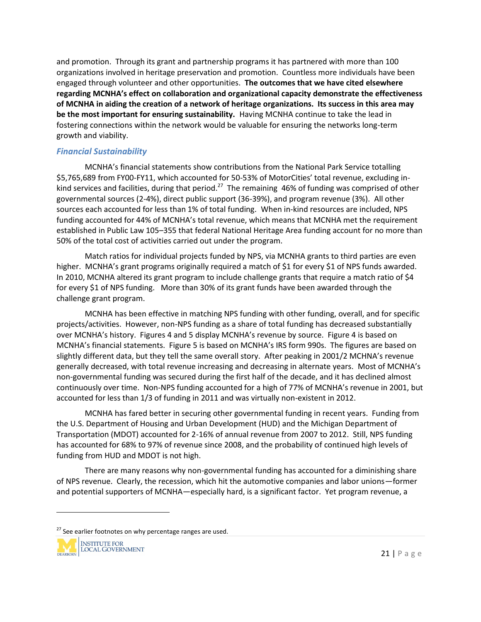and promotion. Through its grant and partnership programs it has partnered with more than 100 organizations involved in heritage preservation and promotion. Countless more individuals have been engaged through volunteer and other opportunities. **The outcomes that we have cited elsewhere regarding MCNHA's effect on collaboration and organizational capacity demonstrate the effectiveness of MCNHA in aiding the creation of a network of heritage organizations. Its success in this area may be the most important for ensuring sustainability.** Having MCNHA continue to take the lead in fostering connections within the network would be valuable for ensuring the networks long-term growth and viability.

#### *Financial Sustainability*

MCNHA's financial statements show contributions from the National Park Service totalling \$5,765,689 from FY00-FY11, which accounted for 50-53% of MotorCities' total revenue, excluding in kind services and facilities, during that period.<sup>27</sup> The remaining 46% of funding was comprised of other governmental sources (2-4%), direct public support (36-39%), and program revenue (3%). All other sources each accounted for less than 1% of total funding. When in-kind resources are included, NPS funding accounted for 44% of MCNHA's total revenue, which means that MCNHA met the requirement established in Public Law 105–355 that federal National Heritage Area funding account for no more than 50% of the total cost of activities carried out under the program.

Match ratios for individual projects funded by NPS, via MCNHA grants to third parties are even higher. MCNHA's grant programs originally required a match of \$1 for every \$1 of NPS funds awarded. In 2010, MCNHA altered its grant program to include challenge grants that require a match ratio of \$4 for every \$1 of NPS funding. More than 30% of its grant funds have been awarded through the challenge grant program.

MCNHA has been effective in matching NPS funding with other funding, overall, and for specific projects/activities. However, non-NPS funding as a share of total funding has decreased substantially over MCNHA's history. Figures 4 and 5 display MCNHA's revenue by source. Figure 4 is based on MCNHA's financial statements. Figure 5 is based on MCNHA's IRS form 990s. The figures are based on slightly different data, but they tell the same overall story. After peaking in 2001/2 MCHNA's revenue generally decreased, with total revenue increasing and decreasing in alternate years. Most of MCNHA's non-governmental funding was secured during the first half of the decade, and it has declined almost continuously over time. Non-NPS funding accounted for a high of 77% of MCNHA's revenue in 2001, but accounted for less than 1/3 of funding in 2011 and was virtually non-existent in 2012.

MCNHA has fared better in securing other governmental funding in recent years. Funding from the U.S. Department of Housing and Urban Development (HUD) and the Michigan Department of Transportation (MDOT) accounted for 2-16% of annual revenue from 2007 to 2012. Still, NPS funding has accounted for 68% to 97% of revenue since 2008, and the probability of continued high levels of funding from HUD and MDOT is not high.

There are many reasons why non-governmental funding has accounted for a diminishing share of NPS revenue. Clearly, the recession, which hit the automotive companies and labor unions—former and potential supporters of MCNHA—especially hard, is a significant factor. Yet program revenue, a

<sup>&</sup>lt;sup>27</sup> See earlier footnotes on why percentage ranges are used.

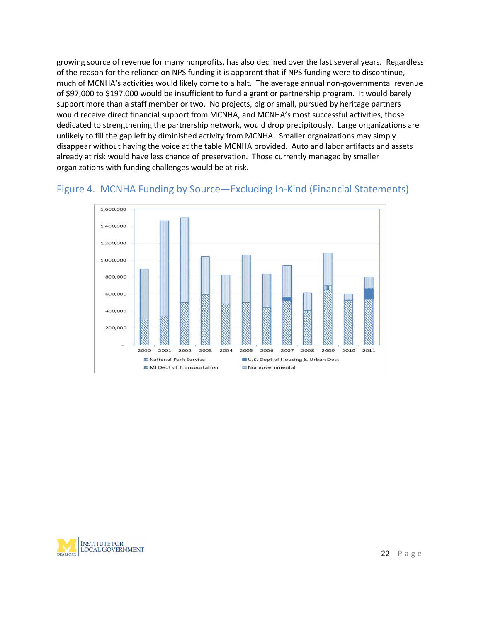growing source of revenue for many nonprofits, has also declined over the last several years. Regardless of the reason for the reliance on NPS funding it is apparent that if NPS funding were to discontinue, much of MCNHA's activities would likely come to a halt. The average annual non-governmental revenue of \$97,000 to \$197,000 would be insufficient to fund a grant or partnership program. It would barely support more than a staff member or two. No projects, big or small, pursued by heritage partners would receive direct financial support from MCNHA, and MCNHA's most successful activities, those dedicated to strengthening the partnership network, would drop precipitously. Large organizations are unlikely to fill the gap left by diminished activity from MCNHA. Smaller orgnaizations may simply disappear without having the voice at the table MCNHA provided. Auto and labor artifacts and assets already at risk would have less chance of preservation. Those currently managed by smaller organizations with funding challenges would be at risk.





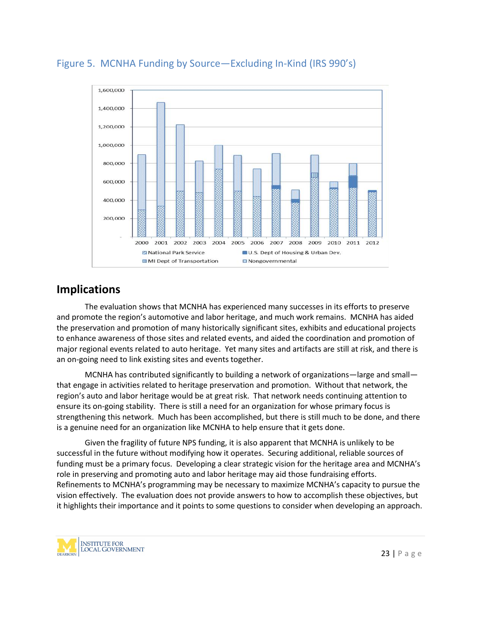

# Figure 5. MCNHA Funding by Source—Excluding In-Kind (IRS 990's)

# **Implications**

The evaluation shows that MCNHA has experienced many successes in its efforts to preserve and promote the region's automotive and labor heritage, and much work remains. MCNHA has aided the preservation and promotion of many historically significant sites, exhibits and educational projects to enhance awareness of those sites and related events, and aided the coordination and promotion of major regional events related to auto heritage. Yet many sites and artifacts are still at risk, and there is an on-going need to link existing sites and events together.

MCNHA has contributed significantly to building a network of organizations—large and small that engage in activities related to heritage preservation and promotion. Without that network, the region's auto and labor heritage would be at great risk. That network needs continuing attention to ensure its on-going stability. There is still a need for an organization for whose primary focus is strengthening this network. Much has been accomplished, but there is still much to be done, and there is a genuine need for an organization like MCNHA to help ensure that it gets done.

n approach.<br>23 | P a g e Given the fragility of future NPS funding, it is also apparent that MCNHA is unlikely to be successful in the future without modifying how it operates. Securing additional, reliable sources of funding must be a primary focus. Developing a clear strategic vision for the heritage area and MCNHA's role in preserving and promoting auto and labor heritage may aid those fundraising efforts. Refinements to MCNHA's programming may be necessary to maximize MCNHA's capacity to pursue the vision effectively. The evaluation does not provide answers to how to accomplish these objectives, but it highlights their importance and it points to some questions to consider when developing an approach.

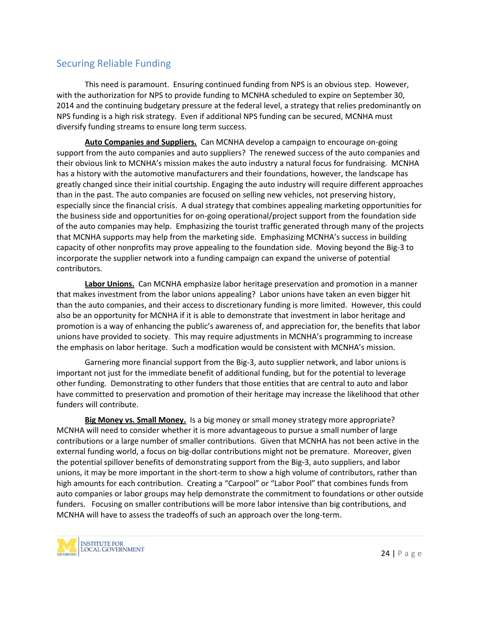### Securing Reliable Funding

This need is paramount. Ensuring continued funding from NPS is an obvious step. However, with the authorization for NPS to provide funding to MCNHA scheduled to expire on September 30, 2014 and the continuing budgetary pressure at the federal level, a strategy that relies predominantly on NPS funding is a high risk strategy. Even if additional NPS funding can be secured, MCNHA must diversify funding streams to ensure long term success.

**Auto Companies and Suppliers.** Can MCNHA develop a campaign to encourage on-going support from the auto companies and auto suppliers? The renewed success of the auto companies and their obvious link to MCNHA's mission makes the auto industry a natural focus for fundraising. MCNHA has a history with the automotive manufacturers and their foundations, however, the landscape has greatly changed since their initial courtship. Engaging the auto industry will require different approaches than in the past. The auto companies are focused on selling new vehicles, not preserving history, especially since the financial crisis. A dual strategy that combines appealing marketing opportunities for the business side and opportunities for on-going operational/project support from the foundation side of the auto companies may help. Emphasizing the tourist traffic generated through many of the projects that MCNHA supports may help from the marketing side. Emphasizing MCNHA's success in building capacity of other nonprofits may prove appealing to the foundation side. Moving beyond the Big-3 to incorporate the supplier network into a funding campaign can expand the universe of potential contributors.

**Labor Unions.** Can MCNHA emphasize labor heritage preservation and promotion in a manner that makes investment from the labor unions appealing? Labor unions have taken an even bigger hit than the auto companies, and their access to discretionary funding is more limited. However, this could also be an opportunity for MCNHA if it is able to demonstrate that investment in labor heritage and promotion is a way of enhancing the public's awareness of, and appreciation for, the benefits that labor unions have provided to society. This may require adjustments in MCNHA's programming to increase the emphasis on labor heritage. Such a modfication would be consistent with MCNHA's mission.

Garnering more financial support from the Big-3, auto supplier network, and labor unions is important not just for the immediate benefit of additional funding, but for the potential to leverage other funding. Demonstrating to other funders that those entities that are central to auto and labor have committed to preservation and promotion of their heritage may increase the likelihood that other funders will contribute.

ns, and<br>24 | P a g e **Big Money vs. Small Money.** Is a big money or small money strategy more appropriate? MCNHA will need to consider whether it is more advantageous to pursue a small number of large contributions or a large number of smaller contributions. Given that MCNHA has not been active in the external funding world, a focus on big-dollar contributions might not be premature. Moreover, given the potential spillover benefits of demonstrating support from the Big-3, auto suppliers, and labor unions, it may be more important in the short-term to show a high volume of contributors, rather than high amounts for each contribution. Creating a "Carpool" or "Labor Pool" that combines funds from auto companies or labor groups may help demonstrate the commitment to foundations or other outside funders. Focusing on smaller contributions will be more labor intensive than big contributions, and MCNHA will have to assess the tradeoffs of such an approach over the long-term.

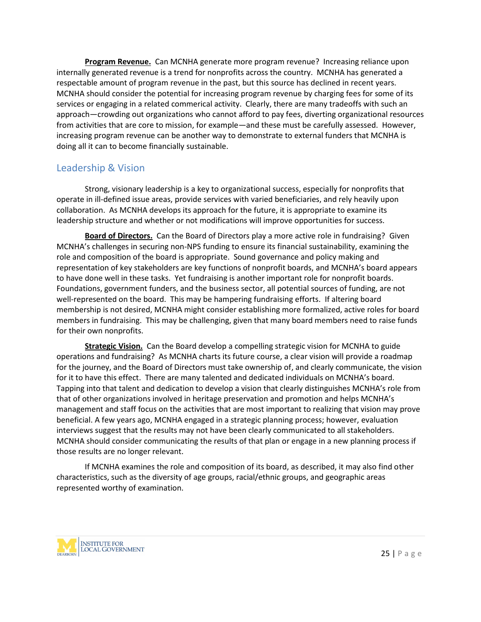**Program Revenue.** Can MCNHA generate more program revenue? Increasing reliance upon internally generated revenue is a trend for nonprofits across the country. MCNHA has generated a respectable amount of program revenue in the past, but this source has declined in recent years. MCNHA should consider the potential for increasing program revenue by charging fees for some of its services or engaging in a related commerical activity. Clearly, there are many tradeoffs with such an approach—crowding out organizations who cannot afford to pay fees, diverting organizational resources from activities that are core to mission, for example—and these must be carefully assessed. However, increasing program revenue can be another way to demonstrate to external funders that MCNHA is doing all it can to become financially sustainable.

### Leadership & Vision

Strong, visionary leadership is a key to organizational success, especially for nonprofits that operate in ill-defined issue areas, provide services with varied beneficiaries, and rely heavily upon collaboration. As MCNHA develops its approach for the future, it is appropriate to examine its leadership structure and whether or not modifications will improve opportunities for success.

**Board of Directors.** Can the Board of Directors play a more active role in fundraising? Given MCNHA's challenges in securing non-NPS funding to ensure its financial sustainability, examining the role and composition of the board is appropriate. Sound governance and policy making and representation of key stakeholders are key functions of nonprofit boards, and MCNHA's board appears to have done well in these tasks. Yet fundraising is another important role for nonprofit boards. Foundations, government funders, and the business sector, all potential sources of funding, are not well-represented on the board. This may be hampering fundraising efforts. If altering board membership is not desired, MCNHA might consider establishing more formalized, active roles for board members in fundraising. This may be challenging, given that many board members need to raise funds for their own nonprofits.

**Strategic Vision.** Can the Board develop a compelling strategic vision for MCNHA to guide operations and fundraising? As MCNHA charts its future course, a clear vision will provide a roadmap for the journey, and the Board of Directors must take ownership of, and clearly communicate, the vision for it to have this effect. There are many talented and dedicated individuals on MCNHA's board. Tapping into that talent and dedication to develop a vision that clearly distinguishes MCNHA's role from that of other organizations involved in heritage preservation and promotion and helps MCNHA's management and staff focus on the activities that are most important to realizing that vision may prove beneficial. A few years ago, MCNHA engaged in a strategic planning process; however, evaluation interviews suggest that the results may not have been clearly communicated to all stakeholders. MCNHA should consider communicating the results of that plan or engage in a new planning process if those results are no longer relevant.

If MCNHA examines the role and composition of its board, as described, it may also find other characteristics, such as the diversity of age groups, racial/ethnic groups, and geographic areas represented worthy of examination.

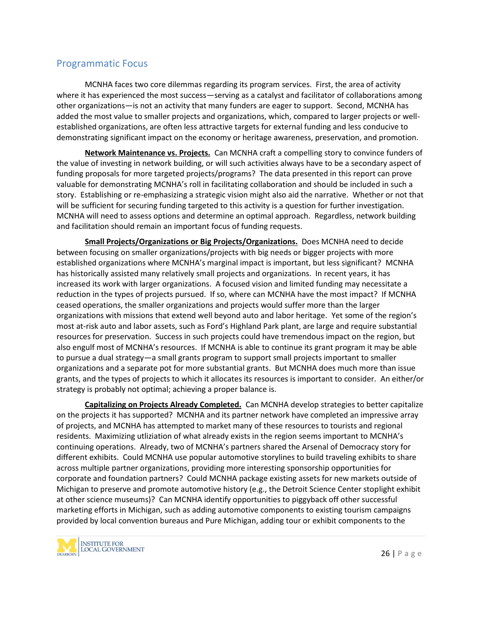### Programmatic Focus

MCNHA faces two core dilemmas regarding its program services. First, the area of activity where it has experienced the most success—serving as a catalyst and facilitator of collaborations among other organizations—is not an activity that many funders are eager to support. Second, MCNHA has added the most value to smaller projects and organizations, which, compared to larger projects or well established organizations, are often less attractive targets for external funding and less conducive to demonstrating significant impact on the economy or heritage awareness, preservation, and promotion.

**Network Maintenance vs. Projects.** Can MCNHA craft a compelling story to convince funders of the value of investing in network building, or will such activities always have to be a secondary aspect of funding proposals for more targeted projects/programs? The data presented in this report can prove valuable for demonstrating MCNHA's roll in facilitating collaboration and should be included in such a story. Establishing or re-emphasizing a strategic vision might also aid the narrative. Whether or not that will be sufficient for securing funding targeted to this activity is a question for further investigation. MCNHA will need to assess options and determine an optimal approach. Regardless, network building and facilitation should remain an important focus of funding requests.

**Small Projects/Organizations or Big Projects/Organizations.** Does MCNHA need to decide between focusing on smaller organizations/projects with big needs or bigger projects with more established organizations where MCNHA's marginal impact is important, but less significant? MCNHA has historically assisted many relatively small projects and organizations. In recent years, it has increased its work with larger organizations. A focused vision and limited funding may necessitate a reduction in the types of projects pursued. If so, where can MCNHA have the most impact? If MCNHA ceased operations, the smaller organizations and projects would suffer more than the larger organizations with missions that extend well beyond auto and labor heritage. Yet some of the region's most at-risk auto and labor assets, such as Ford's Highland Park plant, are large and require substantial resources for preservation. Success in such projects could have tremendous impact on the region, but also engulf most of MCNHA's resources. If MCNHA is able to continue its grant program it may be able to pursue a dual strategy—a small grants program to support small projects important to smaller organizations and a separate pot for more substantial grants. But MCNHA does much more than issue grants, and the types of projects to which it allocates its resources is important to consider. An either/or strategy is probably not optimal; achieving a proper balance is.

mpaigns<br>  $\mathbf{z}$  to the<br>
26 | P a g e **Capitalizing on Projects Already Completed.** Can MCNHA develop strategies to better capitalize on the projects it has supported? MCNHA and its partner network have completed an impressive array of projects, and MCNHA has attempted to market many of these resources to tourists and regional residents. Maximizing utliziation of what already exists in the region seems important to MCNHA's continuing operations. Already, two of MCNHA's partners shared the Arsenal of Democracy story for different exhibits. Could MCNHA use popular automotive storylines to build traveling exhibits to share across multiple partner organizations, providing more interesting sponsorship opportunities for corporate and foundation partners? Could MCNHA package existing assets for new markets outside of Michigan to preserve and promote automotive history (e.g., the Detroit Science Center stoplight exhibit at other science museums)? Can MCNHA identify opportunities to piggyback off other successful marketing efforts in Michigan, such as adding automotive components to existing tourism campaigns provided by local convention bureaus and Pure Michigan, adding tour or exhibit components to the